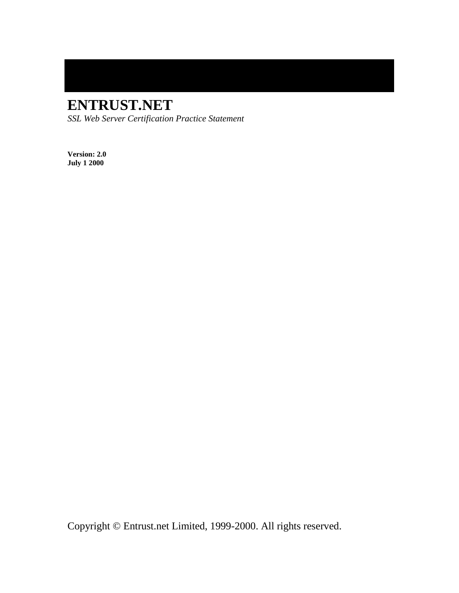# **ENTRUST.NET**

*SSL Web Server Certification Practice Statement*

**Version: 2.0 July 1 2000**

Copyright © Entrust.net Limited, 1999-2000. All rights reserved.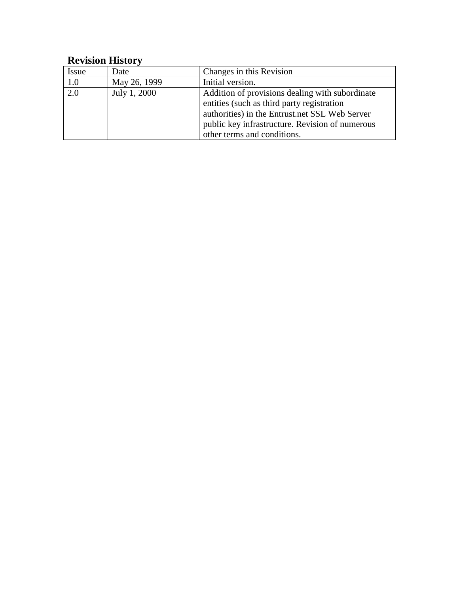## **Revision History**

| <i>Issue</i> | Date         | Changes in this Revision                        |
|--------------|--------------|-------------------------------------------------|
| 1.0          | May 26, 1999 | Initial version.                                |
| 2.0          | July 1, 2000 | Addition of provisions dealing with subordinate |
|              |              | entities (such as third party registration      |
|              |              | authorities) in the Entrust.net SSL Web Server  |
|              |              | public key infrastructure. Revision of numerous |
|              |              | other terms and conditions.                     |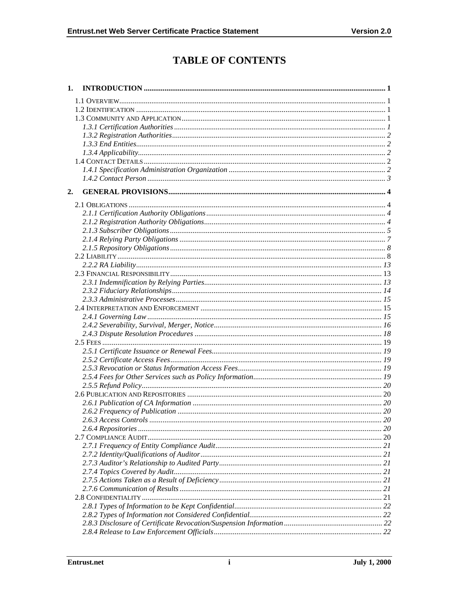## **TABLE OF CONTENTS**

| 1. |    |  |
|----|----|--|
|    |    |  |
|    |    |  |
|    |    |  |
|    |    |  |
|    |    |  |
|    |    |  |
|    |    |  |
|    |    |  |
|    |    |  |
|    |    |  |
| 2. |    |  |
|    |    |  |
|    |    |  |
|    |    |  |
|    |    |  |
|    |    |  |
|    |    |  |
|    |    |  |
|    |    |  |
|    |    |  |
|    |    |  |
|    |    |  |
|    |    |  |
|    |    |  |
|    |    |  |
|    |    |  |
|    |    |  |
|    |    |  |
|    |    |  |
|    |    |  |
|    |    |  |
|    |    |  |
|    |    |  |
|    |    |  |
|    |    |  |
|    |    |  |
|    |    |  |
|    |    |  |
|    |    |  |
|    |    |  |
|    |    |  |
|    |    |  |
|    |    |  |
|    |    |  |
|    |    |  |
|    |    |  |
|    | 21 |  |
|    |    |  |
|    |    |  |
|    |    |  |
|    |    |  |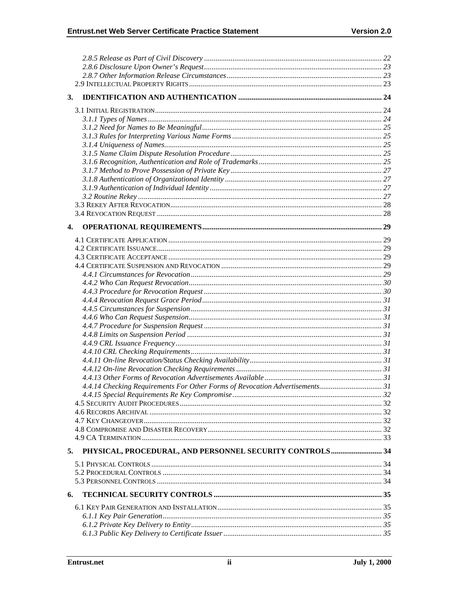| 3. |                                                                              |  |
|----|------------------------------------------------------------------------------|--|
|    |                                                                              |  |
|    |                                                                              |  |
|    |                                                                              |  |
|    |                                                                              |  |
|    |                                                                              |  |
|    |                                                                              |  |
|    |                                                                              |  |
|    |                                                                              |  |
|    |                                                                              |  |
|    |                                                                              |  |
|    |                                                                              |  |
|    |                                                                              |  |
|    |                                                                              |  |
|    |                                                                              |  |
|    |                                                                              |  |
| 4. |                                                                              |  |
|    |                                                                              |  |
|    |                                                                              |  |
|    |                                                                              |  |
|    |                                                                              |  |
|    |                                                                              |  |
|    |                                                                              |  |
|    |                                                                              |  |
|    |                                                                              |  |
|    |                                                                              |  |
|    |                                                                              |  |
|    |                                                                              |  |
|    |                                                                              |  |
|    |                                                                              |  |
|    |                                                                              |  |
|    |                                                                              |  |
|    |                                                                              |  |
|    |                                                                              |  |
|    |                                                                              |  |
|    | 4.4.14 Checking Requirements For Other Forms of Revocation Advertisements 31 |  |
|    |                                                                              |  |
|    |                                                                              |  |
|    |                                                                              |  |
|    |                                                                              |  |
|    |                                                                              |  |
|    |                                                                              |  |
| 5. | PHYSICAL, PROCEDURAL, AND PERSONNEL SECURITY CONTROLS 34                     |  |
|    |                                                                              |  |
|    |                                                                              |  |
|    |                                                                              |  |
|    |                                                                              |  |
|    |                                                                              |  |
| 6. |                                                                              |  |
|    |                                                                              |  |
|    |                                                                              |  |
|    |                                                                              |  |
|    |                                                                              |  |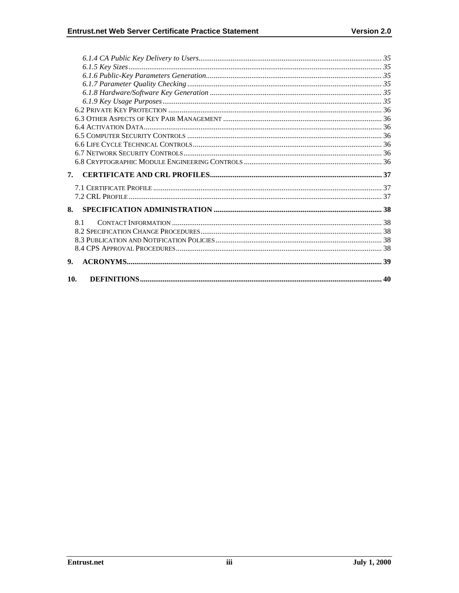| 7.             |  |
|----------------|--|
|                |  |
|                |  |
| 8.             |  |
| 81             |  |
|                |  |
|                |  |
|                |  |
| 9 <sub>1</sub> |  |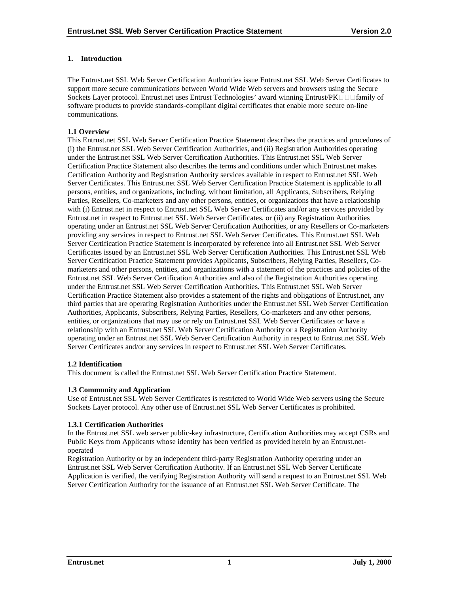## **1. Introduction**

The Entrust.net SSL Web Server Certification Authorities issue Entrust.net SSL Web Server Certificates to support more secure communications between World Wide Web servers and browsers using the Secure Sockets Layer protocol. Entrust.net uses Entrust Technologies' award winning Entrust/ $PK \Box \Box$  family of software products to provide standards-compliant digital certificates that enable more secure on-line communications.

## **1.1 Overview**

This Entrust.net SSL Web Server Certification Practice Statement describes the practices and procedures of (i) the Entrust.net SSL Web Server Certification Authorities, and (ii) Registration Authorities operating under the Entrust.net SSL Web Server Certification Authorities. This Entrust.net SSL Web Server Certification Practice Statement also describes the terms and conditions under which Entrust.net makes Certification Authority and Registration Authority services available in respect to Entrust.net SSL Web Server Certificates. This Entrust.net SSL Web Server Certification Practice Statement is applicable to all persons, entities, and organizations, including, without limitation, all Applicants, Subscribers, Relying Parties, Resellers, Co-marketers and any other persons, entities, or organizations that have a relationship with (i) Entrust.net in respect to Entrust.net SSL Web Server Certificates and/or any services provided by Entrust.net in respect to Entrust.net SSL Web Server Certificates, or (ii) any Registration Authorities operating under an Entrust.net SSL Web Server Certification Authorities, or any Resellers or Co-marketers providing any services in respect to Entrust.net SSL Web Server Certificates. This Entrust.net SSL Web Server Certification Practice Statement is incorporated by reference into all Entrust.net SSL Web Server Certificates issued by an Entrust.net SSL Web Server Certification Authorities. This Entrust.net SSL Web Server Certification Practice Statement provides Applicants, Subscribers, Relying Parties, Resellers, Comarketers and other persons, entities, and organizations with a statement of the practices and policies of the Entrust.net SSL Web Server Certification Authorities and also of the Registration Authorities operating under the Entrust.net SSL Web Server Certification Authorities. This Entrust.net SSL Web Server Certification Practice Statement also provides a statement of the rights and obligations of Entrust.net, any third parties that are operating Registration Authorities under the Entrust.net SSL Web Server Certification Authorities, Applicants, Subscribers, Relying Parties, Resellers, Co-marketers and any other persons, entities, or organizations that may use or rely on Entrust.net SSL Web Server Certificates or have a relationship with an Entrust.net SSL Web Server Certification Authority or a Registration Authority operating under an Entrust.net SSL Web Server Certification Authority in respect to Entrust.net SSL Web Server Certificates and/or any services in respect to Entrust.net SSL Web Server Certificates.

#### **1.2 Identification**

This document is called the Entrust.net SSL Web Server Certification Practice Statement.

#### **1.3 Community and Application**

Use of Entrust.net SSL Web Server Certificates is restricted to World Wide Web servers using the Secure Sockets Layer protocol. Any other use of Entrust.net SSL Web Server Certificates is prohibited.

#### **1.3.1 Certification Authorities**

In the Entrust.net SSL web server public-key infrastructure, Certification Authorities may accept CSRs and Public Keys from Applicants whose identity has been verified as provided herein by an Entrust.netoperated

Registration Authority or by an independent third-party Registration Authority operating under an Entrust.net SSL Web Server Certification Authority. If an Entrust.net SSL Web Server Certificate Application is verified, the verifying Registration Authority will send a request to an Entrust.net SSL Web Server Certification Authority for the issuance of an Entrust.net SSL Web Server Certificate. The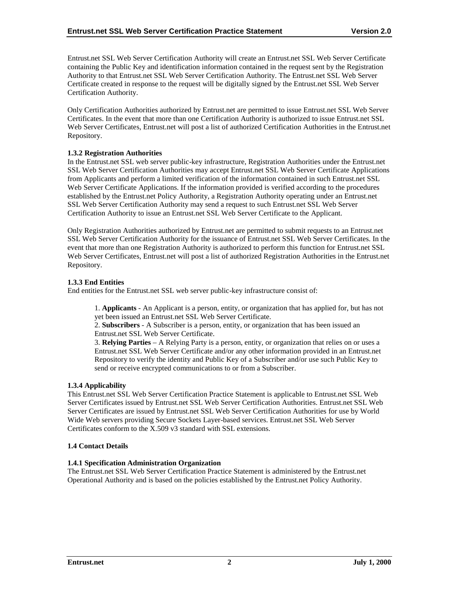Entrust.net SSL Web Server Certification Authority will create an Entrust.net SSL Web Server Certificate containing the Public Key and identification information contained in the request sent by the Registration Authority to that Entrust.net SSL Web Server Certification Authority. The Entrust.net SSL Web Server Certificate created in response to the request will be digitally signed by the Entrust.net SSL Web Server Certification Authority.

Only Certification Authorities authorized by Entrust.net are permitted to issue Entrust.net SSL Web Server Certificates. In the event that more than one Certification Authority is authorized to issue Entrust.net SSL Web Server Certificates, Entrust.net will post a list of authorized Certification Authorities in the Entrust.net Repository.

## **1.3.2 Registration Authorities**

In the Entrust.net SSL web server public-key infrastructure, Registration Authorities under the Entrust.net SSL Web Server Certification Authorities may accept Entrust.net SSL Web Server Certificate Applications from Applicants and perform a limited verification of the information contained in such Entrust.net SSL Web Server Certificate Applications. If the information provided is verified according to the procedures established by the Entrust.net Policy Authority, a Registration Authority operating under an Entrust.net SSL Web Server Certification Authority may send a request to such Entrust.net SSL Web Server Certification Authority to issue an Entrust.net SSL Web Server Certificate to the Applicant.

Only Registration Authorities authorized by Entrust.net are permitted to submit requests to an Entrust.net SSL Web Server Certification Authority for the issuance of Entrust.net SSL Web Server Certificates. In the event that more than one Registration Authority is authorized to perform this function for Entrust.net SSL Web Server Certificates, Entrust.net will post a list of authorized Registration Authorities in the Entrust.net Repository.

## **1.3.3 End Entities**

End entities for the Entrust.net SSL web server public-key infrastructure consist of:

1. **Applicants** - An Applicant is a person, entity, or organization that has applied for, but has not yet been issued an Entrust.net SSL Web Server Certificate.

2. **Subscribers** - A Subscriber is a person, entity, or organization that has been issued an Entrust.net SSL Web Server Certificate.

3. **Relying Parties** – A Relying Party is a person, entity, or organization that relies on or uses a Entrust.net SSL Web Server Certificate and/or any other information provided in an Entrust.net Repository to verify the identity and Public Key of a Subscriber and/or use such Public Key to send or receive encrypted communications to or from a Subscriber.

#### **1.3.4 Applicability**

This Entrust.net SSL Web Server Certification Practice Statement is applicable to Entrust.net SSL Web Server Certificates issued by Entrust.net SSL Web Server Certification Authorities. Entrust.net SSL Web Server Certificates are issued by Entrust.net SSL Web Server Certification Authorities for use by World Wide Web servers providing Secure Sockets Layer-based services. Entrust.net SSL Web Server Certificates conform to the  $X.509$  v3 standard with SSL extensions.

#### **1.4 Contact Details**

## **1.4.1 Specification Administration Organization**

The Entrust.net SSL Web Server Certification Practice Statement is administered by the Entrust.net Operational Authority and is based on the policies established by the Entrust.net Policy Authority.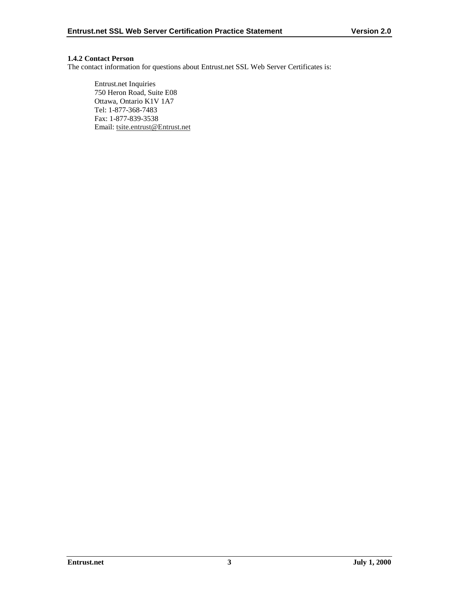## **1.4.2 Contact Person**

The contact information for questions about Entrust.net SSL Web Server Certificates is:

Entrust.net Inquiries 750 Heron Road, Suite E08 Ottawa, Ontario K1V 1A7 Tel: 1-877-368-7483 Fax: 1-877-839-3538 Email: tsite.entrust@Entrust.net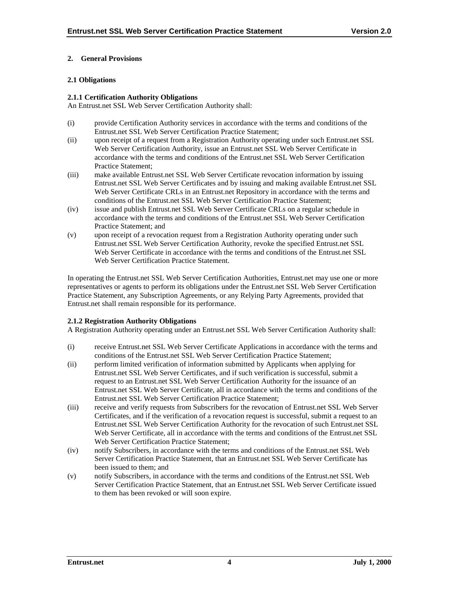## **2. General Provisions**

## **2.1 Obligations**

#### **2.1.1 Certification Authority Obligations**

An Entrust.net SSL Web Server Certification Authority shall:

- (i) provide Certification Authority services in accordance with the terms and conditions of the Entrust.net SSL Web Server Certification Practice Statement;
- (ii) upon receipt of a request from a Registration Authority operating under such Entrust.net SSL Web Server Certification Authority, issue an Entrust.net SSL Web Server Certificate in accordance with the terms and conditions of the Entrust.net SSL Web Server Certification Practice Statement;
- (iii) make available Entrust.net SSL Web Server Certificate revocation information by issuing Entrust.net SSL Web Server Certificates and by issuing and making available Entrust.net SSL Web Server Certificate CRLs in an Entrust.net Repository in accordance with the terms and conditions of the Entrust.net SSL Web Server Certification Practice Statement;
- (iv) issue and publish Entrust.net SSL Web Server Certificate CRLs on a regular schedule in accordance with the terms and conditions of the Entrust.net SSL Web Server Certification Practice Statement; and
- (v) upon receipt of a revocation request from a Registration Authority operating under such Entrust.net SSL Web Server Certification Authority, revoke the specified Entrust.net SSL Web Server Certificate in accordance with the terms and conditions of the Entrust.net SSL Web Server Certification Practice Statement.

In operating the Entrust.net SSL Web Server Certification Authorities, Entrust.net may use one or more representatives or agents to perform its obligations under the Entrust.net SSL Web Server Certification Practice Statement, any Subscription Agreements, or any Relying Party Agreements, provided that Entrust.net shall remain responsible for its performance.

## **2.1.2 Registration Authority Obligations**

A Registration Authority operating under an Entrust.net SSL Web Server Certification Authority shall:

- (i) receive Entrust.net SSL Web Server Certificate Applications in accordance with the terms and conditions of the Entrust.net SSL Web Server Certification Practice Statement;
- (ii) perform limited verification of information submitted by Applicants when applying for Entrust.net SSL Web Server Certificates, and if such verification is successful, submit a request to an Entrust.net SSL Web Server Certification Authority for the issuance of an Entrust.net SSL Web Server Certificate, all in accordance with the terms and conditions of the Entrust.net SSL Web Server Certification Practice Statement;
- (iii) receive and verify requests from Subscribers for the revocation of Entrust.net SSL Web Server Certificates, and if the verification of a revocation request is successful, submit a request to an Entrust.net SSL Web Server Certification Authority for the revocation of such Entrust.net SSL Web Server Certificate, all in accordance with the terms and conditions of the Entrust.net SSL Web Server Certification Practice Statement;
- (iv) notify Subscribers, in accordance with the terms and conditions of the Entrust.net SSL Web Server Certification Practice Statement, that an Entrust.net SSL Web Server Certificate has been issued to them; and
- (v) notify Subscribers, in accordance with the terms and conditions of the Entrust.net SSL Web Server Certification Practice Statement, that an Entrust.net SSL Web Server Certificate issued to them has been revoked or will soon expire.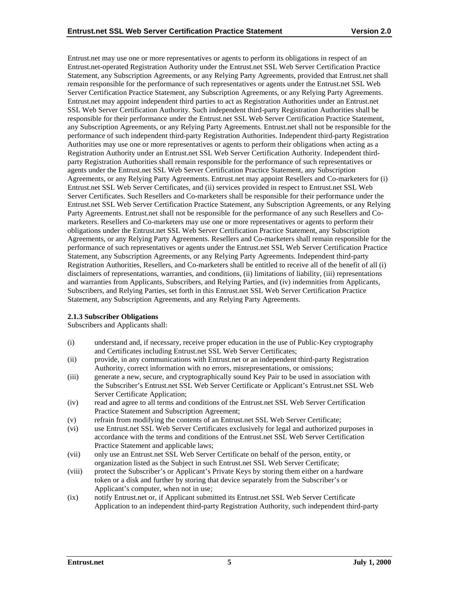Entrust.net may use one or more representatives or agents to perform its obligations in respect of an Entrust.net-operated Registration Authority under the Entrust.net SSL Web Server Certification Practice Statement, any Subscription Agreements, or any Relying Party Agreements, provided that Entrust.net shall remain responsible for the performance of such representatives or agents under the Entrust.net SSL Web Server Certification Practice Statement, any Subscription Agreements, or any Relying Party Agreements. Entrust.net may appoint independent third parties to act as Registration Authorities under an Entrust.net SSL Web Server Certification Authority. Such independent third-party Registration Authorities shall be responsible for their performance under the Entrust.net SSL Web Server Certification Practice Statement, any Subscription Agreements, or any Relying Party Agreements. Entrust.net shall not be responsible for the performance of such independent third-party Registration Authorities. Independent third-party Registration Authorities may use one or more representatives or agents to perform their obligations when acting as a Registration Authority under an Entrust.net SSL Web Server Certification Authority. Independent thirdparty Registration Authorities shall remain responsible for the performance of such representatives or agents under the Entrust.net SSL Web Server Certification Practice Statement, any Subscription Agreements, or any Relying Party Agreements. Entrust.net may appoint Resellers and Co-marketers for (i) Entrust.net SSL Web Server Certificates, and (ii) services provided in respect to Entrust.net SSL Web Server Certificates. Such Resellers and Co-marketers shall be responsible for their performance under the Entrust.net SSL Web Server Certification Practice Statement, any Subscription Agreements, or any Relying Party Agreements. Entrust.net shall not be responsible for the performance of any such Resellers and Comarketers. Resellers and Co-marketers may use one or more representatives or agents to perform their obligations under the Entrust.net SSL Web Server Certification Practice Statement, any Subscription Agreements, or any Relying Party Agreements. Resellers and Co-marketers shall remain responsible for the performance of such representatives or agents under the Entrust.net SSL Web Server Certification Practice Statement, any Subscription Agreements, or any Relying Party Agreements. Independent third-party Registration Authorities, Resellers, and Co-marketers shall be entitled to receive all of the benefit of all (i) disclaimers of representations, warranties, and conditions, (ii) limitations of liability, (iii) representations and warranties from Applicants, Subscribers, and Relying Parties, and (iv) indemnities from Applicants, Subscribers, and Relying Parties, set forth in this Entrust.net SSL Web Server Certification Practice Statement, any Subscription Agreements, and any Relying Party Agreements.

#### **2.1.3 Subscriber Obligations**

Subscribers and Applicants shall:

- (i) understand and, if necessary, receive proper education in the use of Public-Key cryptography and Certificates including Entrust.net SSL Web Server Certificates;
- (ii) provide, in any communications with Entrust.net or an independent third-party Registration Authority, correct information with no errors, misrepresentations, or omissions;
- (iii) generate a new, secure, and cryptographically sound Key Pair to be used in association with the Subscriber's Entrust.net SSL Web Server Certificate or Applicant's Entrust.net SSL Web Server Certificate Application;
- (iv) read and agree to all terms and conditions of the Entrust.net SSL Web Server Certification Practice Statement and Subscription Agreement;
- (v) refrain from modifying the contents of an Entrust.net SSL Web Server Certificate;
- (vi) use Entrust.net SSL Web Server Certificates exclusively for legal and authorized purposes in accordance with the terms and conditions of the Entrust.net SSL Web Server Certification Practice Statement and applicable laws;
- (vii) only use an Entrust.net SSL Web Server Certificate on behalf of the person, entity, or organization listed as the Subject in such Entrust.net SSL Web Server Certificate;
- (viii) protect the Subscriber's or Applicant's Private Keys by storing them either on a hardware token or a disk and further by storing that device separately from the Subscriber's or Applicant's computer, when not in use;
- (ix) notify Entrust.net or, if Applicant submitted its Entrust.net SSL Web Server Certificate Application to an independent third-party Registration Authority, such independent third-party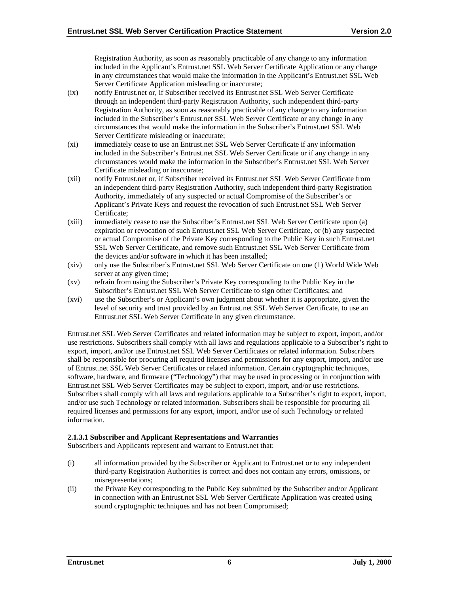Registration Authority, as soon as reasonably practicable of any change to any information included in the Applicant's Entrust.net SSL Web Server Certificate Application or any change in any circumstances that would make the information in the Applicant's Entrust.net SSL Web Server Certificate Application misleading or inaccurate;

- (ix) notify Entrust.net or, if Subscriber received its Entrust.net SSL Web Server Certificate through an independent third-party Registration Authority, such independent third-party Registration Authority, as soon as reasonably practicable of any change to any information included in the Subscriber's Entrust.net SSL Web Server Certificate or any change in any circumstances that would make the information in the Subscriber's Entrust.net SSL Web Server Certificate misleading or inaccurate;
- (xi) immediately cease to use an Entrust.net SSL Web Server Certificate if any information included in the Subscriber's Entrust.net SSL Web Server Certificate or if any change in any circumstances would make the information in the Subscriber's Entrust.net SSL Web Server Certificate misleading or inaccurate;
- (xii) notify Entrust.net or, if Subscriber received its Entrust.net SSL Web Server Certificate from an independent third-party Registration Authority, such independent third-party Registration Authority, immediately of any suspected or actual Compromise of the Subscriber's or Applicant's Private Keys and request the revocation of such Entrust.net SSL Web Server Certificate;
- (xiii) immediately cease to use the Subscriber's Entrust.net SSL Web Server Certificate upon (a) expiration or revocation of such Entrust.net SSL Web Server Certificate, or (b) any suspected or actual Compromise of the Private Key corresponding to the Public Key in such Entrust.net SSL Web Server Certificate, and remove such Entrust.net SSL Web Server Certificate from the devices and/or software in which it has been installed;
- (xiv) only use the Subscriber's Entrust.net SSL Web Server Certificate on one (1) World Wide Web server at any given time;
- (xv) refrain from using the Subscriber's Private Key corresponding to the Public Key in the Subscriber's Entrust.net SSL Web Server Certificate to sign other Certificates; and
- (xvi) use the Subscriber's or Applicant's own judgment about whether it is appropriate, given the level of security and trust provided by an Entrust.net SSL Web Server Certificate, to use an Entrust.net SSL Web Server Certificate in any given circumstance.

Entrust.net SSL Web Server Certificates and related information may be subject to export, import, and/or use restrictions. Subscribers shall comply with all laws and regulations applicable to a Subscriber's right to export, import, and/or use Entrust.net SSL Web Server Certificates or related information. Subscribers shall be responsible for procuring all required licenses and permissions for any export, import, and/or use of Entrust.net SSL Web Server Certificates or related information. Certain cryptographic techniques, software, hardware, and firmware ("Technology") that may be used in processing or in conjunction with Entrust.net SSL Web Server Certificates may be subject to export, import, and/or use restrictions. Subscribers shall comply with all laws and regulations applicable to a Subscriber's right to export, import, and/or use such Technology or related information. Subscribers shall be responsible for procuring all required licenses and permissions for any export, import, and/or use of such Technology or related information.

## **2.1.3.1 Subscriber and Applicant Representations and Warranties**

Subscribers and Applicants represent and warrant to Entrust.net that:

- (i) all information provided by the Subscriber or Applicant to Entrust.net or to any independent third-party Registration Authorities is correct and does not contain any errors, omissions, or misrepresentations;
- (ii) the Private Key corresponding to the Public Key submitted by the Subscriber and/or Applicant in connection with an Entrust.net SSL Web Server Certificate Application was created using sound cryptographic techniques and has not been Compromised;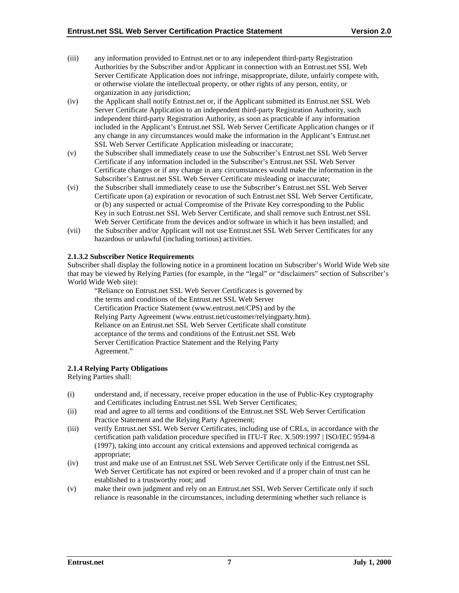- (iii) any information provided to Entrust.net or to any independent third-party Registration Authorities by the Subscriber and/or Applicant in connection with an Entrust.net SSL Web Server Certificate Application does not infringe, misappropriate, dilute, unfairly compete with, or otherwise violate the intellectual property, or other rights of any person, entity, or organization in any jurisdiction;
- (iv) the Applicant shall notify Entrust.net or, if the Applicant submitted its Entrust.net SSL Web Server Certificate Application to an independent third-party Registration Authority, such independent third-party Registration Authority, as soon as practicable if any information included in the Applicant's Entrust.net SSL Web Server Certificate Application changes or if any change in any circumstances would make the information in the Applicant's Entrust.net SSL Web Server Certificate Application misleading or inaccurate;
- (v) the Subscriber shall immediately cease to use the Subscriber's Entrust.net SSL Web Server Certificate if any information included in the Subscriber's Entrust.net SSL Web Server Certificate changes or if any change in any circumstances would make the information in the Subscriber's Entrust.net SSL Web Server Certificate misleading or inaccurate;
- (vi) the Subscriber shall immediately cease to use the Subscriber's Entrust.net SSL Web Server Certificate upon (a) expiration or revocation of such Entrust.net SSL Web Server Certificate, or (b) any suspected or actual Compromise of the Private Key corresponding to the Public Key in such Entrust.net SSL Web Server Certificate, and shall remove such Entrust.net SSL Web Server Certificate from the devices and/or software in which it has been installed; and
- (vii) the Subscriber and/or Applicant will not use Entrust.net SSL Web Server Certificates for any hazardous or unlawful (including tortious) activities.

#### **2.1.3.2 Subscriber Notice Requirements**

Subscriber shall display the following notice in a prominent location on Subscriber's World Wide Web site that may be viewed by Relying Parties (for example, in the "legal" or "disclaimers" section of Subscriber's World Wide Web site):

"Reliance on Entrust.net SSL Web Server Certificates is governed by the terms and conditions of the Entrust.net SSL Web Server Certification Practice Statement (www.entrust.net/CPS) and by the Relying Party Agreement (www.entrust.net/customer/relyingparty.htm). Reliance on an Entrust.net SSL Web Server Certificate shall constitute acceptance of the terms and conditions of the Entrust.net SSL Web Server Certification Practice Statement and the Relying Party Agreement."

#### **2.1.4 Relying Party Obligations**

Relying Parties shall:

- (i) understand and, if necessary, receive proper education in the use of Public-Key cryptography and Certificates including Entrust.net SSL Web Server Certificates;
- (ii) read and agree to all terms and conditions of the Entrust.net SSL Web Server Certification Practice Statement and the Relying Party Agreement;
- (iii) verify Entrust.net SSL Web Server Certificates, including use of CRLs, in accordance with the certification path validation procedure specified in ITU-T Rec. X.509:1997 | ISO/IEC 9594-8 (1997), taking into account any critical extensions and approved technical corrigenda as appropriate;
- (iv) trust and make use of an Entrust.net SSL Web Server Certificate only if the Entrust.net SSL Web Server Certificate has not expired or been revoked and if a proper chain of trust can be established to a trustworthy root; and
- (v) make their own judgment and rely on an Entrust.net SSL Web Server Certificate only if such reliance is reasonable in the circumstances, including determining whether such reliance is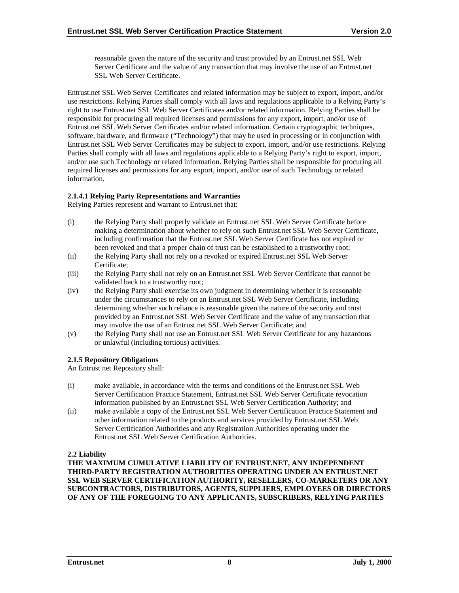reasonable given the nature of the security and trust provided by an Entrust.net SSL Web Server Certificate and the value of any transaction that may involve the use of an Entrust.net SSL Web Server Certificate.

Entrust.net SSL Web Server Certificates and related information may be subject to export, import, and/or use restrictions. Relying Parties shall comply with all laws and regulations applicable to a Relying Party's right to use Entrust.net SSL Web Server Certificates and/or related information. Relying Parties shall be responsible for procuring all required licenses and permissions for any export, import, and/or use of Entrust.net SSL Web Server Certificates and/or related information. Certain cryptographic techniques, software, hardware, and firmware ("Technology") that may be used in processing or in conjunction with Entrust.net SSL Web Server Certificates may be subject to export, import, and/or use restrictions. Relying Parties shall comply with all laws and regulations applicable to a Relying Party's right to export, import, and/or use such Technology or related information. Relying Parties shall be responsible for procuring all required licenses and permissions for any export, import, and/or use of such Technology or related information.

#### **2.1.4.1 Relying Party Representations and Warranties**

Relying Parties represent and warrant to Entrust.net that:

- (i) the Relying Party shall properly validate an Entrust.net SSL Web Server Certificate before making a determination about whether to rely on such Entrust.net SSL Web Server Certificate, including confirmation that the Entrust.net SSL Web Server Certificate has not expired or been revoked and that a proper chain of trust can be established to a trustworthy root;
- (ii) the Relying Party shall not rely on a revoked or expired Entrust.net SSL Web Server Certificate;
- (iii) the Relying Party shall not rely on an Entrust.net SSL Web Server Certificate that cannot be validated back to a trustworthy root;
- (iv) the Relying Party shall exercise its own judgment in determining whether it is reasonable under the circumstances to rely on an Entrust.net SSL Web Server Certificate, including determining whether such reliance is reasonable given the nature of the security and trust provided by an Entrust.net SSL Web Server Certificate and the value of any transaction that may involve the use of an Entrust.net SSL Web Server Certificate; and
- (v) the Relying Party shall not use an Entrust.net SSL Web Server Certificate for any hazardous or unlawful (including tortious) activities.

## **2.1.5 Repository Obligations**

An Entrust.net Repository shall:

- (i) make available, in accordance with the terms and conditions of the Entrust.net SSL Web Server Certification Practice Statement, Entrust.net SSL Web Server Certificate revocation information published by an Entrust.net SSL Web Server Certification Authority; and
- (ii) make available a copy of the Entrust.net SSL Web Server Certification Practice Statement and other information related to the products and services provided by Entrust.net SSL Web Server Certification Authorities and any Registration Authorities operating under the Entrust.net SSL Web Server Certification Authorities.

#### **2.2 Liability**

**THE MAXIMUM CUMULATIVE LIABILITY OF ENTRUST.NET, ANY INDEPENDENT THIRD-PARTY REGISTRATION AUTHORITIES OPERATING UNDER AN ENTRUST.NET SSL WEB SERVER CERTIFICATION AUTHORITY, RESELLERS, CO-MARKETERS OR ANY SUBCONTRACTORS, DISTRIBUTORS, AGENTS, SUPPLIERS, EMPLOYEES OR DIRECTORS OF ANY OF THE FOREGOING TO ANY APPLICANTS, SUBSCRIBERS, RELYING PARTIES**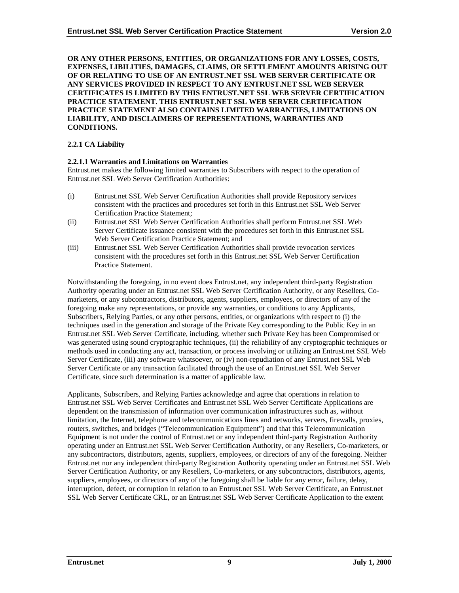**OR ANY OTHER PERSONS, ENTITIES, OR ORGANIZATIONS FOR ANY LOSSES, COSTS, EXPENSES, LIBILITIES, DAMAGES, CLAIMS, OR SETTLEMENT AMOUNTS ARISING OUT OF OR RELATING TO USE OF AN ENTRUST.NET SSL WEB SERVER CERTIFICATE OR ANY SERVICES PROVIDED IN RESPECT TO ANY ENTRUST.NET SSL WEB SERVER CERTIFICATES IS LIMITED BY THIS ENTRUST.NET SSL WEB SERVER CERTIFICATION PRACTICE STATEMENT. THIS ENTRUST.NET SSL WEB SERVER CERTIFICATION PRACTICE STATEMENT ALSO CONTAINS LIMITED WARRANTIES, LIMITATIONS ON LIABILITY, AND DISCLAIMERS OF REPRESENTATIONS, WARRANTIES AND CONDITIONS.**

## **2.2.1 CA Liability**

#### **2.2.1.1 Warranties and Limitations on Warranties**

Entrust.net makes the following limited warranties to Subscribers with respect to the operation of Entrust.net SSL Web Server Certification Authorities:

- (i) Entrust.net SSL Web Server Certification Authorities shall provide Repository services consistent with the practices and procedures set forth in this Entrust.net SSL Web Server Certification Practice Statement;
- (ii) Entrust.net SSL Web Server Certification Authorities shall perform Entrust.net SSL Web Server Certificate issuance consistent with the procedures set forth in this Entrust.net SSL Web Server Certification Practice Statement; and
- (iii) Entrust.net SSL Web Server Certification Authorities shall provide revocation services consistent with the procedures set forth in this Entrust.net SSL Web Server Certification Practice Statement.

Notwithstanding the foregoing, in no event does Entrust.net, any independent third-party Registration Authority operating under an Entrust.net SSL Web Server Certification Authority, or any Resellers, Comarketers, or any subcontractors, distributors, agents, suppliers, employees, or directors of any of the foregoing make any representations, or provide any warranties, or conditions to any Applicants, Subscribers, Relying Parties, or any other persons, entities, or organizations with respect to (i) the techniques used in the generation and storage of the Private Key corresponding to the Public Key in an Entrust.net SSL Web Server Certificate, including, whether such Private Key has been Compromised or was generated using sound cryptographic techniques, (ii) the reliability of any cryptographic techniques or methods used in conducting any act, transaction, or process involving or utilizing an Entrust.net SSL Web Server Certificate, (iii) any software whatsoever, or (iv) non-repudiation of any Entrust.net SSL Web Server Certificate or any transaction facilitated through the use of an Entrust.net SSL Web Server Certificate, since such determination is a matter of applicable law.

Applicants, Subscribers, and Relying Parties acknowledge and agree that operations in relation to Entrust.net SSL Web Server Certificates and Entrust.net SSL Web Server Certificate Applications are dependent on the transmission of information over communication infrastructures such as, without limitation, the Internet, telephone and telecommunications lines and networks, servers, firewalls, proxies, routers, switches, and bridges ("Telecommunication Equipment") and that this Telecommunication Equipment is not under the control of Entrust.net or any independent third-party Registration Authority operating under an Entrust.net SSL Web Server Certification Authority, or any Resellers, Co-marketers, or any subcontractors, distributors, agents, suppliers, employees, or directors of any of the foregoing. Neither Entrust.net nor any independent third-party Registration Authority operating under an Entrust.net SSL Web Server Certification Authority, or any Resellers, Co-marketers, or any subcontractors, distributors, agents, suppliers, employees, or directors of any of the foregoing shall be liable for any error, failure, delay, interruption, defect, or corruption in relation to an Entrust.net SSL Web Server Certificate, an Entrust.net SSL Web Server Certificate CRL, or an Entrust.net SSL Web Server Certificate Application to the extent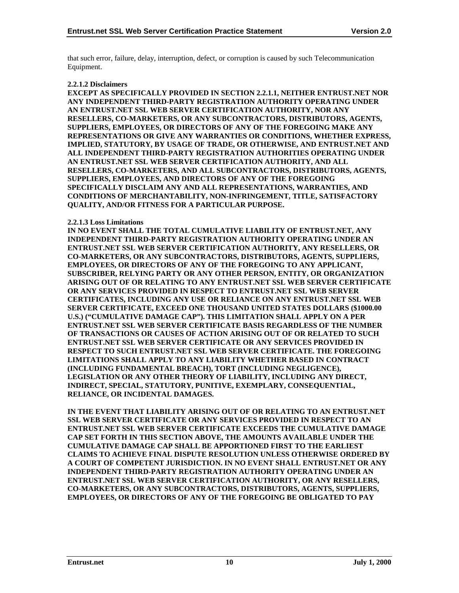that such error, failure, delay, interruption, defect, or corruption is caused by such Telecommunication Equipment.

#### **2.2.1.2 Disclaimers**

**EXCEPT AS SPECIFICALLY PROVIDED IN SECTION 2.2.1.1, NEITHER ENTRUST.NET NOR ANY INDEPENDENT THIRD-PARTY REGISTRATION AUTHORITY OPERATING UNDER AN ENTRUST.NET SSL WEB SERVER CERTIFICATION AUTHORITY, NOR ANY RESELLERS, CO-MARKETERS, OR ANY SUBCONTRACTORS, DISTRIBUTORS, AGENTS, SUPPLIERS, EMPLOYEES, OR DIRECTORS OF ANY OF THE FOREGOING MAKE ANY REPRESENTATIONS OR GIVE ANY WARRANTIES OR CONDITIONS, WHETHER EXPRESS, IMPLIED, STATUTORY, BY USAGE OF TRADE, OR OTHERWISE, AND ENTRUST.NET AND ALL INDEPENDENT THIRD-PARTY REGISTRATION AUTHORITIES OPERATING UNDER AN ENTRUST.NET SSL WEB SERVER CERTIFICATION AUTHORITY, AND ALL RESELLERS, CO-MARKETERS, AND ALL SUBCONTRACTORS, DISTRIBUTORS, AGENTS, SUPPLIERS, EMPLOYEES, AND DIRECTORS OF ANY OF THE FOREGOING SPECIFICALLY DISCLAIM ANY AND ALL REPRESENTATIONS, WARRANTIES, AND CONDITIONS OF MERCHANTABILITY, NON-INFRINGEMENT, TITLE, SATISFACTORY QUALITY, AND/OR FITNESS FOR A PARTICULAR PURPOSE.**

#### **2.2.1.3 Loss Limitations**

**IN NO EVENT SHALL THE TOTAL CUMULATIVE LIABILITY OF ENTRUST.NET, ANY INDEPENDENT THIRD-PARTY REGISTRATION AUTHORITY OPERATING UNDER AN ENTRUST.NET SSL WEB SERVER CERTIFICATION AUTHORITY, ANY RESELLERS, OR CO-MARKETERS, OR ANY SUBCONTRACTORS, DISTRIBUTORS, AGENTS, SUPPLIERS, EMPLOYEES, OR DIRECTORS OF ANY OF THE FOREGOING TO ANY APPLICANT, SUBSCRIBER, RELYING PARTY OR ANY OTHER PERSON, ENTITY, OR ORGANIZATION ARISING OUT OF OR RELATING TO ANY ENTRUST.NET SSL WEB SERVER CERTIFICATE OR ANY SERVICES PROVIDED IN RESPECT TO ENTRUST.NET SSL WEB SERVER CERTIFICATES, INCLUDING ANY USE OR RELIANCE ON ANY ENTRUST.NET SSL WEB SERVER CERTIFICATE, EXCEED ONE THOUSAND UNITED STATES DOLLARS (\$1000.00 U.S.) ("CUMULATIVE DAMAGE CAP"). THIS LIMITATION SHALL APPLY ON A PER ENTRUST.NET SSL WEB SERVER CERTIFICATE BASIS REGARDLESS OF THE NUMBER OF TRANSACTIONS OR CAUSES OF ACTION ARISING OUT OF OR RELATED TO SUCH ENTRUST.NET SSL WEB SERVER CERTIFICATE OR ANY SERVICES PROVIDED IN RESPECT TO SUCH ENTRUST.NET SSL WEB SERVER CERTIFICATE. THE FOREGOING LIMITATIONS SHALL APPLY TO ANY LIABILITY WHETHER BASED IN CONTRACT (INCLUDING FUNDAMENTAL BREACH), TORT (INCLUDING NEGLIGENCE), LEGISLATION OR ANY OTHER THEORY OF LIABILITY, INCLUDING ANY DIRECT, INDIRECT, SPECIAL, STATUTORY, PUNITIVE, EXEMPLARY, CONSEQUENTIAL, RELIANCE, OR INCIDENTAL DAMAGES.**

**IN THE EVENT THAT LIABILITY ARISING OUT OF OR RELATING TO AN ENTRUST.NET SSL WEB SERVER CERTIFICATE OR ANY SERVICES PROVIDED IN RESPECT TO AN ENTRUST.NET SSL WEB SERVER CERTIFICATE EXCEEDS THE CUMULATIVE DAMAGE CAP SET FORTH IN THIS SECTION ABOVE, THE AMOUNTS AVAILABLE UNDER THE CUMULATIVE DAMAGE CAP SHALL BE APPORTIONED FIRST TO THE EARLIEST CLAIMS TO ACHIEVE FINAL DISPUTE RESOLUTION UNLESS OTHERWISE ORDERED BY A COURT OF COMPETENT JURISDICTION. IN NO EVENT SHALL ENTRUST.NET OR ANY INDEPENDENT THIRD-PARTY REGISTRATION AUTHORITY OPERATING UNDER AN ENTRUST.NET SSL WEB SERVER CERTIFICATION AUTHORITY, OR ANY RESELLERS, CO-MARKETERS, OR ANY SUBCONTRACTORS, DISTRIBUTORS, AGENTS, SUPPLIERS, EMPLOYEES, OR DIRECTORS OF ANY OF THE FOREGOING BE OBLIGATED TO PAY**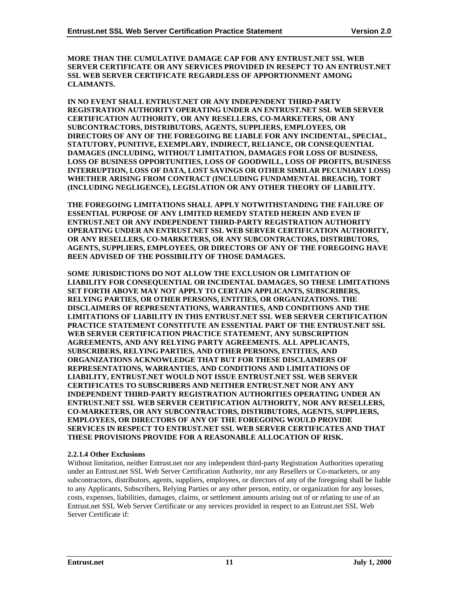**MORE THAN THE CUMULATIVE DAMAGE CAP FOR ANY ENTRUST.NET SSL WEB SERVER CERTIFICATE OR ANY SERVICES PROVIDED IN RESEPCT TO AN ENTRUST.NET SSL WEB SERVER CERTIFICATE REGARDLESS OF APPORTIONMENT AMONG CLAIMANTS.**

**IN NO EVENT SHALL ENTRUST.NET OR ANY INDEPENDENT THIRD-PARTY REGISTRATION AUTHORITY OPERATING UNDER AN ENTRUST.NET SSL WEB SERVER CERTIFICATION AUTHORITY, OR ANY RESELLERS, CO-MARKETERS, OR ANY SUBCONTRACTORS, DISTRIBUTORS, AGENTS, SUPPLIERS, EMPLOYEES, OR DIRECTORS OF ANY OF THE FOREGOING BE LIABLE FOR ANY INCIDENTAL, SPECIAL, STATUTORY, PUNITIVE, EXEMPLARY, INDIRECT, RELIANCE, OR CONSEQUENTIAL DAMAGES (INCLUDING, WITHOUT LIMITATION, DAMAGES FOR LOSS OF BUSINESS, LOSS OF BUSINESS OPPORTUNITIES, LOSS OF GOODWILL, LOSS OF PROFITS, BUSINESS INTERRUPTION, LOSS OF DATA, LOST SAVINGS OR OTHER SIMILAR PECUNIARY LOSS) WHETHER ARISING FROM CONTRACT (INCLUDING FUNDAMENTAL BREACH), TORT (INCLUDING NEGLIGENCE), LEGISLATION OR ANY OTHER THEORY OF LIABILITY.**

**THE FOREGOING LIMITATIONS SHALL APPLY NOTWITHSTANDING THE FAILURE OF ESSENTIAL PURPOSE OF ANY LIMITED REMEDY STATED HEREIN AND EVEN IF ENTRUST.NET OR ANY INDEPENDENT THIRD-PARTY REGISTRATION AUTHORITY OPERATING UNDER AN ENTRUST.NET SSL WEB SERVER CERTIFICATION AUTHORITY, OR ANY RESELLERS, CO-MARKETERS, OR ANY SUBCONTRACTORS, DISTRIBUTORS, AGENTS, SUPPLIERS, EMPLOYEES, OR DIRECTORS OF ANY OF THE FOREGOING HAVE BEEN ADVISED OF THE POSSIBILITY OF THOSE DAMAGES.**

**SOME JURISDICTIONS DO NOT ALLOW THE EXCLUSION OR LIMITATION OF LIABILITY FOR CONSEQUENTIAL OR INCIDENTAL DAMAGES, SO THESE LIMITATIONS SET FORTH ABOVE MAY NOT APPLY TO CERTAIN APPLICANTS, SUBSCRIBERS, RELYING PARTIES, OR OTHER PERSONS, ENTITIES, OR ORGANIZATIONS. THE DISCLAIMERS OF REPRESENTATIONS, WARRANTIES, AND CONDITIONS AND THE LIMITATIONS OF LIABILITY IN THIS ENTRUST.NET SSL WEB SERVER CERTIFICATION PRACTICE STATEMENT CONSTITUTE AN ESSENTIAL PART OF THE ENTRUST.NET SSL WEB SERVER CERTIFICATION PRACTICE STATEMENT, ANY SUBSCRIPTION AGREEMENTS, AND ANY RELYING PARTY AGREEMENTS. ALL APPLICANTS, SUBSCRIBERS, RELYING PARTIES, AND OTHER PERSONS, ENTITIES, AND ORGANIZATIONS ACKNOWLEDGE THAT BUT FOR THESE DISCLAIMERS OF REPRESENTATIONS, WARRANTIES, AND CONDITIONS AND LIMITATIONS OF LIABILITY, ENTRUST.NET WOULD NOT ISSUE ENTRUST.NET SSL WEB SERVER CERTIFICATES TO SUBSCRIBERS AND NEITHER ENTRUST.NET NOR ANY ANY INDEPENDENT THIRD-PARTY REGISTRATION AUTHORITIES OPERATING UNDER AN ENTRUST.NET SSL WEB SERVER CERTIFICATION AUTHORITY, NOR ANY RESELLERS, CO-MARKETERS, OR ANY SUBCONTRACTORS, DISTRIBUTORS, AGENTS, SUPPLIERS, EMPLOYEES, OR DIRECTORS OF ANY OF THE FOREGOING WOULD PROVIDE SERVICES IN RESPECT TO ENTRUST.NET SSL WEB SERVER CERTIFICATES AND THAT THESE PROVISIONS PROVIDE FOR A REASONABLE ALLOCATION OF RISK.**

## **2.2.1.4 Other Exclusions**

Without limitation, neither Entrust.net nor any independent third-party Registration Authorities operating under an Entrust.net SSL Web Server Certification Authority, nor any Resellers or Co-marketers, or any subcontractors, distributors, agents, suppliers, employees, or directors of any of the foregoing shall be liable to any Applicants, Subscribers, Relying Parties or any other person, entity, or organization for any losses, costs, expenses, liabilities, damages, claims, or settlement amounts arising out of or relating to use of an Entrust.net SSL Web Server Certificate or any services provided in respect to an Entrust.net SSL Web Server Certificate if: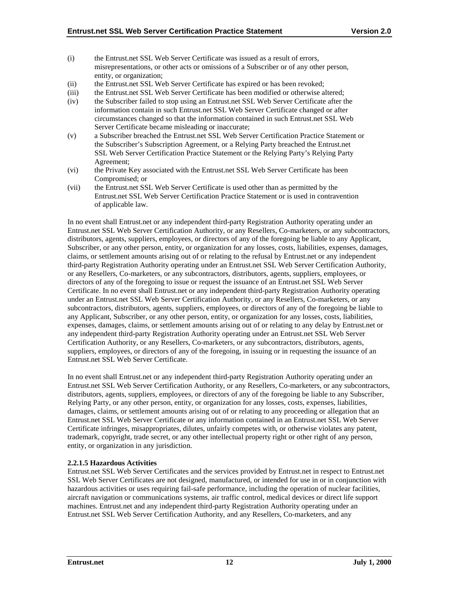- (i) the Entrust.net SSL Web Server Certificate was issued as a result of errors, misrepresentations, or other acts or omissions of a Subscriber or of any other person, entity, or organization;
- (ii) the Entrust.net SSL Web Server Certificate has expired or has been revoked;
- (iii) the Entrust.net SSL Web Server Certificate has been modified or otherwise altered;
- (iv) the Subscriber failed to stop using an Entrust.net SSL Web Server Certificate after the information contain in such Entrust.net SSL Web Server Certificate changed or after circumstances changed so that the information contained in such Entrust.net SSL Web Server Certificate became misleading or inaccurate;
- (v) a Subscriber breached the Entrust.net SSL Web Server Certification Practice Statement or the Subscriber's Subscription Agreement, or a Relying Party breached the Entrust.net SSL Web Server Certification Practice Statement or the Relying Party's Relying Party Agreement;
- (vi) the Private Key associated with the Entrust.net SSL Web Server Certificate has been Compromised; or
- (vii) the Entrust.net SSL Web Server Certificate is used other than as permitted by the Entrust.net SSL Web Server Certification Practice Statement or is used in contravention of applicable law.

In no event shall Entrust.net or any independent third-party Registration Authority operating under an Entrust.net SSL Web Server Certification Authority, or any Resellers, Co-marketers, or any subcontractors, distributors, agents, suppliers, employees, or directors of any of the foregoing be liable to any Applicant, Subscriber, or any other person, entity, or organization for any losses, costs, liabilities, expenses, damages, claims, or settlement amounts arising out of or relating to the refusal by Entrust.net or any independent third-party Registration Authority operating under an Entrust.net SSL Web Server Certification Authority, or any Resellers, Co-marketers, or any subcontractors, distributors, agents, suppliers, employees, or directors of any of the foregoing to issue or request the issuance of an Entrust.net SSL Web Server Certificate. In no event shall Entrust.net or any independent third-party Registration Authority operating under an Entrust.net SSL Web Server Certification Authority, or any Resellers, Co-marketers, or any subcontractors, distributors, agents, suppliers, employees, or directors of any of the foregoing be liable to any Applicant, Subscriber, or any other person, entity, or organization for any losses, costs, liabilities, expenses, damages, claims, or settlement amounts arising out of or relating to any delay by Entrust.net or any independent third-party Registration Authority operating under an Entrust.net SSL Web Server Certification Authority, or any Resellers, Co-marketers, or any subcontractors, distributors, agents, suppliers, employees, or directors of any of the foregoing, in issuing or in requesting the issuance of an Entrust.net SSL Web Server Certificate.

In no event shall Entrust.net or any independent third-party Registration Authority operating under an Entrust.net SSL Web Server Certification Authority, or any Resellers, Co-marketers, or any subcontractors, distributors, agents, suppliers, employees, or directors of any of the foregoing be liable to any Subscriber, Relying Party, or any other person, entity, or organization for any losses, costs, expenses, liabilities, damages, claims, or settlement amounts arising out of or relating to any proceeding or allegation that an Entrust.net SSL Web Server Certificate or any information contained in an Entrust.net SSL Web Server Certificate infringes, misappropriates, dilutes, unfairly competes with, or otherwise violates any patent, trademark, copyright, trade secret, or any other intellectual property right or other right of any person, entity, or organization in any jurisdiction.

#### **2.2.1.5 Hazardous Activities**

Entrust.net SSL Web Server Certificates and the services provided by Entrust.net in respect to Entrust.net SSL Web Server Certificates are not designed, manufactured, or intended for use in or in conjunction with hazardous activities or uses requiring fail-safe performance, including the operation of nuclear facilities, aircraft navigation or communications systems, air traffic control, medical devices or direct life support machines. Entrust.net and any independent third-party Registration Authority operating under an Entrust.net SSL Web Server Certification Authority, and any Resellers, Co-marketers, and any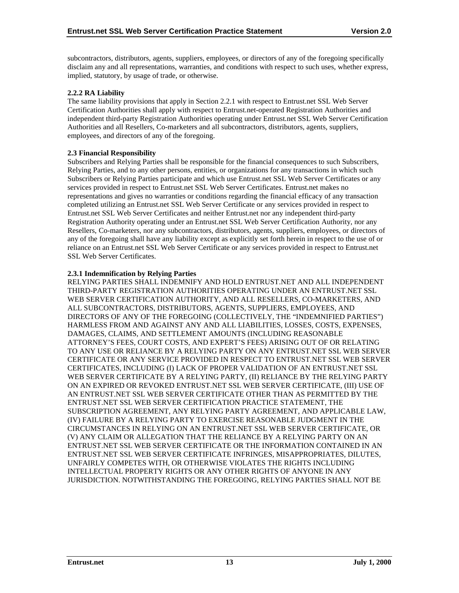subcontractors, distributors, agents, suppliers, employees, or directors of any of the foregoing specifically disclaim any and all representations, warranties, and conditions with respect to such uses, whether express, implied, statutory, by usage of trade, or otherwise.

## **2.2.2 RA Liability**

The same liability provisions that apply in Section 2.2.1 with respect to Entrust.net SSL Web Server Certification Authorities shall apply with respect to Entrust.net-operated Registration Authorities and independent third-party Registration Authorities operating under Entrust.net SSL Web Server Certification Authorities and all Resellers, Co-marketers and all subcontractors, distributors, agents, suppliers, employees, and directors of any of the foregoing.

## **2.3 Financial Responsibility**

Subscribers and Relying Parties shall be responsible for the financial consequences to such Subscribers, Relying Parties, and to any other persons, entities, or organizations for any transactions in which such Subscribers or Relying Parties participate and which use Entrust.net SSL Web Server Certificates or any services provided in respect to Entrust.net SSL Web Server Certificates. Entrust.net makes no representations and gives no warranties or conditions regarding the financial efficacy of any transaction completed utilizing an Entrust.net SSL Web Server Certificate or any services provided in respect to Entrust.net SSL Web Server Certificates and neither Entrust.net nor any independent third-party Registration Authority operating under an Entrust.net SSL Web Server Certification Authority, nor any Resellers, Co-marketers, nor any subcontractors, distributors, agents, suppliers, employees, or directors of any of the foregoing shall have any liability except as explicitly set forth herein in respect to the use of or reliance on an Entrust.net SSL Web Server Certificate or any services provided in respect to Entrust.net SSL Web Server Certificates.

## **2.3.1 Indemnification by Relying Parties**

RELYING PARTIES SHALL INDEMNIFY AND HOLD ENTRUST.NET AND ALL INDEPENDENT THIRD-PARTY REGISTRATION AUTHORITIES OPERATING UNDER AN ENTRUST.NET SSL WEB SERVER CERTIFICATION AUTHORITY, AND ALL RESELLERS, CO-MARKETERS, AND ALL SUBCONTRACTORS, DISTRIBUTORS, AGENTS, SUPPLIERS, EMPLOYEES, AND DIRECTORS OF ANY OF THE FOREGOING (COLLECTIVELY, THE "INDEMNIFIED PARTIES") HARMLESS FROM AND AGAINST ANY AND ALL LIABILITIES, LOSSES, COSTS, EXPENSES, DAMAGES, CLAIMS, AND SETTLEMENT AMOUNTS (INCLUDING REASONABLE ATTORNEY'S FEES, COURT COSTS, AND EXPERT'S FEES) ARISING OUT OF OR RELATING TO ANY USE OR RELIANCE BY A RELYING PARTY ON ANY ENTRUST.NET SSL WEB SERVER CERTIFICATE OR ANY SERVICE PROVIDED IN RESPECT TO ENTRUST.NET SSL WEB SERVER CERTIFICATES, INCLUDING (I) LACK OF PROPER VALIDATION OF AN ENTRUST.NET SSL WEB SERVER CERTIFICATE BY A RELYING PARTY, (II) RELIANCE BY THE RELYING PARTY ON AN EXPIRED OR REVOKED ENTRUST.NET SSL WEB SERVER CERTIFICATE, (III) USE OF AN ENTRUST.NET SSL WEB SERVER CERTIFICATE OTHER THAN AS PERMITTED BY THE ENTRUST.NET SSL WEB SERVER CERTIFICATION PRACTICE STATEMENT, THE SUBSCRIPTION AGREEMENT, ANY RELYING PARTY AGREEMENT, AND APPLICABLE LAW, (IV) FAILURE BY A RELYING PARTY TO EXERCISE REASONABLE JUDGMENT IN THE CIRCUMSTANCES IN RELYING ON AN ENTRUST.NET SSL WEB SERVER CERTIFICATE, OR (V) ANY CLAIM OR ALLEGATION THAT THE RELIANCE BY A RELYING PARTY ON AN ENTRUST.NET SSL WEB SERVER CERTIFICATE OR THE INFORMATION CONTAINED IN AN ENTRUST.NET SSL WEB SERVER CERTIFICATE INFRINGES, MISAPPROPRIATES, DILUTES, UNFAIRLY COMPETES WITH, OR OTHERWISE VIOLATES THE RIGHTS INCLUDING INTELLECTUAL PROPERTY RIGHTS OR ANY OTHER RIGHTS OF ANYONE IN ANY JURISDICTION. NOTWITHSTANDING THE FOREGOING, RELYING PARTIES SHALL NOT BE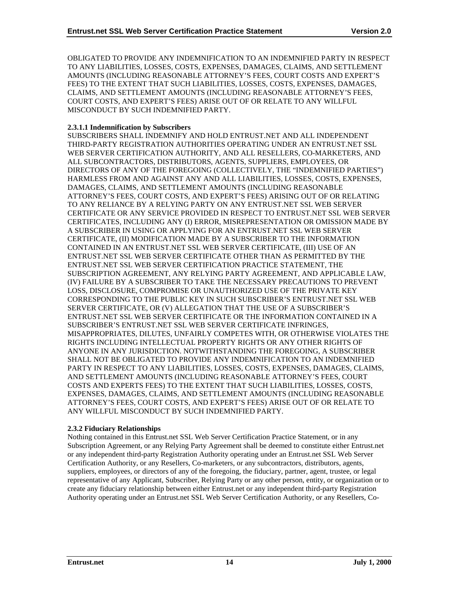OBLIGATED TO PROVIDE ANY INDEMNIFICATION TO AN INDEMNIFIED PARTY IN RESPECT TO ANY LIABILITIES, LOSSES, COSTS, EXPENSES, DAMAGES, CLAIMS, AND SETTLEMENT AMOUNTS (INCLUDING REASONABLE ATTORNEY'S FEES, COURT COSTS AND EXPERT'S FEES) TO THE EXTENT THAT SUCH LIABILITIES, LOSSES, COSTS, EXPENSES, DAMAGES, CLAIMS, AND SETTLEMENT AMOUNTS (INCLUDING REASONABLE ATTORNEY'S FEES, COURT COSTS, AND EXPERT'S FEES) ARISE OUT OF OR RELATE TO ANY WILLFUL MISCONDUCT BY SUCH INDEMNIFIED PARTY.

## **2.3.1.1 Indemnification by Subscribers**

SUBSCRIBERS SHALL INDEMNIFY AND HOLD ENTRUST.NET AND ALL INDEPENDENT THIRD-PARTY REGISTRATION AUTHORITIES OPERATING UNDER AN ENTRUST.NET SSL WEB SERVER CERTIFICATION AUTHORITY, AND ALL RESELLERS, CO-MARKETERS, AND ALL SUBCONTRACTORS, DISTRIBUTORS, AGENTS, SUPPLIERS, EMPLOYEES, OR DIRECTORS OF ANY OF THE FOREGOING (COLLECTIVELY, THE "INDEMNIFIED PARTIES") HARMLESS FROM AND AGAINST ANY AND ALL LIABILITIES, LOSSES, COSTS, EXPENSES, DAMAGES, CLAIMS, AND SETTLEMENT AMOUNTS (INCLUDING REASONABLE ATTORNEY'S FEES, COURT COSTS, AND EXPERT'S FEES) ARISING OUT OF OR RELATING TO ANY RELIANCE BY A RELYING PARTY ON ANY ENTRUST.NET SSL WEB SERVER CERTIFICATE OR ANY SERVICE PROVIDED IN RESPECT TO ENTRUST.NET SSL WEB SERVER CERTIFICATES, INCLUDING ANY (I) ERROR, MISREPRESENTATION OR OMISSION MADE BY A SUBSCRIBER IN USING OR APPLYING FOR AN ENTRUST.NET SSL WEB SERVER CERTIFICATE, (II) MODIFICATION MADE BY A SUBSCRIBER TO THE INFORMATION CONTAINED IN AN ENTRUST.NET SSL WEB SERVER CERTIFICATE, (III) USE OF AN ENTRUST.NET SSL WEB SERVER CERTIFICATE OTHER THAN AS PERMITTED BY THE ENTRUST.NET SSL WEB SERVER CERTIFICATION PRACTICE STATEMENT, THE SUBSCRIPTION AGREEMENT, ANY RELYING PARTY AGREEMENT, AND APPLICABLE LAW, (IV) FAILURE BY A SUBSCRIBER TO TAKE THE NECESSARY PRECAUTIONS TO PREVENT LOSS, DISCLOSURE, COMPROMISE OR UNAUTHORIZED USE OF THE PRIVATE KEY CORRESPONDING TO THE PUBLIC KEY IN SUCH SUBSCRIBER'S ENTRUST.NET SSL WEB SERVER CERTIFICATE, OR (V) ALLEGATION THAT THE USE OF A SUBSCRIBER'S ENTRUST.NET SSL WEB SERVER CERTIFICATE OR THE INFORMATION CONTAINED IN A SUBSCRIBER'S ENTRUST.NET SSL WEB SERVER CERTIFICATE INFRINGES, MISAPPROPRIATES, DILUTES, UNFAIRLY COMPETES WITH, OR OTHERWISE VIOLATES THE RIGHTS INCLUDING INTELLECTUAL PROPERTY RIGHTS OR ANY OTHER RIGHTS OF ANYONE IN ANY JURISDICTION. NOTWITHSTANDING THE FOREGOING, A SUBSCRIBER SHALL NOT BE OBLIGATED TO PROVIDE ANY INDEMNIFICATION TO AN INDEMNIFIED PARTY IN RESPECT TO ANY LIABILITIES, LOSSES, COSTS, EXPENSES, DAMAGES, CLAIMS, AND SETTLEMENT AMOUNTS (INCLUDING REASONABLE ATTORNEY'S FEES, COURT COSTS AND EXPERTS FEES) TO THE EXTENT THAT SUCH LIABILITIES, LOSSES, COSTS, EXPENSES, DAMAGES, CLAIMS, AND SETTLEMENT AMOUNTS (INCLUDING REASONABLE ATTORNEY'S FEES, COURT COSTS, AND EXPERT'S FEES) ARISE OUT OF OR RELATE TO ANY WILLFUL MISCONDUCT BY SUCH INDEMNIFIED PARTY.

#### **2.3.2 Fiduciary Relationships**

Nothing contained in this Entrust.net SSL Web Server Certification Practice Statement, or in any Subscription Agreement, or any Relying Party Agreement shall be deemed to constitute either Entrust.net or any independent third-party Registration Authority operating under an Entrust.net SSL Web Server Certification Authority, or any Resellers, Co-marketers, or any subcontractors, distributors, agents, suppliers, employees, or directors of any of the foregoing, the fiduciary, partner, agent, trustee, or legal representative of any Applicant, Subscriber, Relying Party or any other person, entity, or organization or to create any fiduciary relationship between either Entrust.net or any independent third-party Registration Authority operating under an Entrust.net SSL Web Server Certification Authority, or any Resellers, Co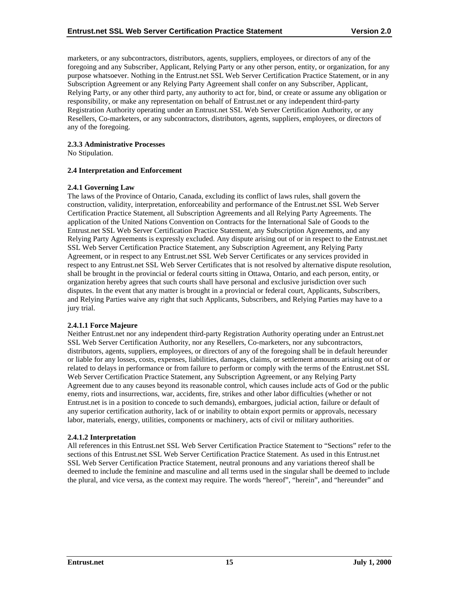marketers, or any subcontractors, distributors, agents, suppliers, employees, or directors of any of the foregoing and any Subscriber, Applicant, Relying Party or any other person, entity, or organization, for any purpose whatsoever. Nothing in the Entrust.net SSL Web Server Certification Practice Statement, or in any Subscription Agreement or any Relying Party Agreement shall confer on any Subscriber, Applicant, Relying Party, or any other third party, any authority to act for, bind, or create or assume any obligation or responsibility, or make any representation on behalf of Entrust.net or any independent third-party Registration Authority operating under an Entrust.net SSL Web Server Certification Authority, or any Resellers, Co-marketers, or any subcontractors, distributors, agents, suppliers, employees, or directors of any of the foregoing.

## **2.3.3 Administrative Processes**

No Stipulation.

## **2.4 Interpretation and Enforcement**

## **2.4.1 Governing Law**

The laws of the Province of Ontario, Canada, excluding its conflict of laws rules, shall govern the construction, validity, interpretation, enforceability and performance of the Entrust.net SSL Web Server Certification Practice Statement, all Subscription Agreements and all Relying Party Agreements. The application of the United Nations Convention on Contracts for the International Sale of Goods to the Entrust.net SSL Web Server Certification Practice Statement, any Subscription Agreements, and any Relying Party Agreements is expressly excluded. Any dispute arising out of or in respect to the Entrust.net SSL Web Server Certification Practice Statement, any Subscription Agreement, any Relying Party Agreement, or in respect to any Entrust.net SSL Web Server Certificates or any services provided in respect to any Entrust.net SSL Web Server Certificates that is not resolved by alternative dispute resolution, shall be brought in the provincial or federal courts sitting in Ottawa, Ontario, and each person, entity, or organization hereby agrees that such courts shall have personal and exclusive jurisdiction over such disputes. In the event that any matter is brought in a provincial or federal court, Applicants, Subscribers, and Relying Parties waive any right that such Applicants, Subscribers, and Relying Parties may have to a jury trial.

## **2.4.1.1 Force Majeure**

Neither Entrust.net nor any independent third-party Registration Authority operating under an Entrust.net SSL Web Server Certification Authority, nor any Resellers, Co-marketers, nor any subcontractors, distributors, agents, suppliers, employees, or directors of any of the foregoing shall be in default hereunder or liable for any losses, costs, expenses, liabilities, damages, claims, or settlement amounts arising out of or related to delays in performance or from failure to perform or comply with the terms of the Entrust.net SSL Web Server Certification Practice Statement, any Subscription Agreement, or any Relying Party Agreement due to any causes beyond its reasonable control, which causes include acts of God or the public enemy, riots and insurrections, war, accidents, fire, strikes and other labor difficulties (whether or not Entrust.net is in a position to concede to such demands), embargoes, judicial action, failure or default of any superior certification authority, lack of or inability to obtain export permits or approvals, necessary labor, materials, energy, utilities, components or machinery, acts of civil or military authorities.

#### **2.4.1.2 Interpretation**

All references in this Entrust.net SSL Web Server Certification Practice Statement to "Sections" refer to the sections of this Entrust.net SSL Web Server Certification Practice Statement. As used in this Entrust.net SSL Web Server Certification Practice Statement, neutral pronouns and any variations thereof shall be deemed to include the feminine and masculine and all terms used in the singular shall be deemed to include the plural, and vice versa, as the context may require. The words "hereof", "herein", and "hereunder" and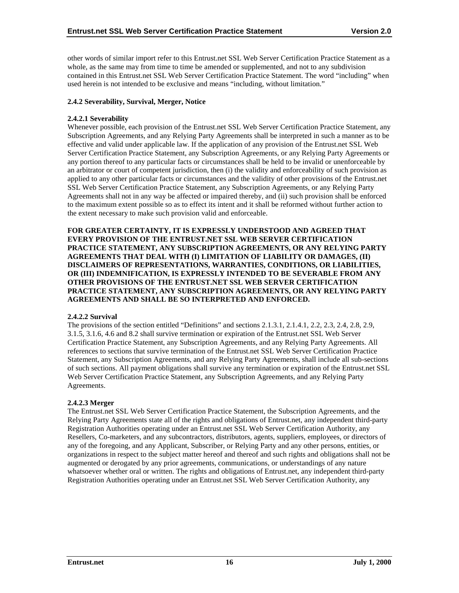other words of similar import refer to this Entrust.net SSL Web Server Certification Practice Statement as a whole, as the same may from time to time be amended or supplemented, and not to any subdivision contained in this Entrust.net SSL Web Server Certification Practice Statement. The word "including" when used herein is not intended to be exclusive and means "including, without limitation."

## **2.4.2 Severability, Survival, Merger, Notice**

#### **2.4.2.1 Severability**

Whenever possible, each provision of the Entrust.net SSL Web Server Certification Practice Statement, any Subscription Agreements, and any Relying Party Agreements shall be interpreted in such a manner as to be effective and valid under applicable law. If the application of any provision of the Entrust.net SSL Web Server Certification Practice Statement, any Subscription Agreements, or any Relying Party Agreements or any portion thereof to any particular facts or circumstances shall be held to be invalid or unenforceable by an arbitrator or court of competent jurisdiction, then (i) the validity and enforceability of such provision as applied to any other particular facts or circumstances and the validity of other provisions of the Entrust.net SSL Web Server Certification Practice Statement, any Subscription Agreements, or any Relying Party Agreements shall not in any way be affected or impaired thereby, and (ii) such provision shall be enforced to the maximum extent possible so as to effect its intent and it shall be reformed without further action to the extent necessary to make such provision valid and enforceable.

**FOR GREATER CERTAINTY, IT IS EXPRESSLY UNDERSTOOD AND AGREED THAT EVERY PROVISION OF THE ENTRUST.NET SSL WEB SERVER CERTIFICATION PRACTICE STATEMENT, ANY SUBSCRIPTION AGREEMENTS, OR ANY RELYING PARTY AGREEMENTS THAT DEAL WITH (I) LIMITATION OF LIABILITY OR DAMAGES, (II) DISCLAIMERS OF REPRESENTATIONS, WARRANTIES, CONDITIONS, OR LIABILITIES, OR (III) INDEMNIFICATION, IS EXPRESSLY INTENDED TO BE SEVERABLE FROM ANY OTHER PROVISIONS OF THE ENTRUST.NET SSL WEB SERVER CERTIFICATION PRACTICE STATEMENT, ANY SUBSCRIPTION AGREEMENTS, OR ANY RELYING PARTY AGREEMENTS AND SHALL BE SO INTERPRETED AND ENFORCED.**

#### **2.4.2.2 Survival**

The provisions of the section entitled "Definitions" and sections 2.1.3.1, 2.1.4.1, 2.2, 2.3, 2.4, 2.8, 2.9, 3.1.5, 3.1.6, 4.6 and 8.2 shall survive termination or expiration of the Entrust.net SSL Web Server Certification Practice Statement, any Subscription Agreements, and any Relying Party Agreements. All references to sections that survive termination of the Entrust.net SSL Web Server Certification Practice Statement, any Subscription Agreements, and any Relying Party Agreements, shall include all sub-sections of such sections. All payment obligations shall survive any termination or expiration of the Entrust.net SSL Web Server Certification Practice Statement, any Subscription Agreements, and any Relying Party Agreements.

#### **2.4.2.3 Merger**

The Entrust.net SSL Web Server Certification Practice Statement, the Subscription Agreements, and the Relying Party Agreements state all of the rights and obligations of Entrust.net, any independent third-party Registration Authorities operating under an Entrust.net SSL Web Server Certification Authority, any Resellers, Co-marketers, and any subcontractors, distributors, agents, suppliers, employees, or directors of any of the foregoing, and any Applicant, Subscriber, or Relying Party and any other persons, entities, or organizations in respect to the subject matter hereof and thereof and such rights and obligations shall not be augmented or derogated by any prior agreements, communications, or understandings of any nature whatsoever whether oral or written. The rights and obligations of Entrust.net, any independent third-party Registration Authorities operating under an Entrust.net SSL Web Server Certification Authority, any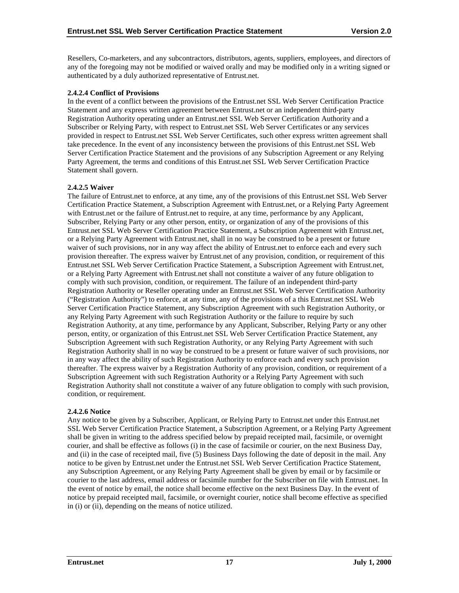Resellers, Co-marketers, and any subcontractors, distributors, agents, suppliers, employees, and directors of any of the foregoing may not be modified or waived orally and may be modified only in a writing signed or authenticated by a duly authorized representative of Entrust.net.

## **2.4.2.4 Conflict of Provisions**

In the event of a conflict between the provisions of the Entrust.net SSL Web Server Certification Practice Statement and any express written agreement between Entrust.net or an independent third-party Registration Authority operating under an Entrust.net SSL Web Server Certification Authority and a Subscriber or Relying Party, with respect to Entrust.net SSL Web Server Certificates or any services provided in respect to Entrust.net SSL Web Server Certificates, such other express written agreement shall take precedence. In the event of any inconsistency between the provisions of this Entrust.net SSL Web Server Certification Practice Statement and the provisions of any Subscription Agreement or any Relying Party Agreement, the terms and conditions of this Entrust.net SSL Web Server Certification Practice Statement shall govern.

## **2.4.2.5 Waiver**

The failure of Entrust.net to enforce, at any time, any of the provisions of this Entrust.net SSL Web Server Certification Practice Statement, a Subscription Agreement with Entrust.net, or a Relying Party Agreement with Entrust.net or the failure of Entrust.net to require, at any time, performance by any Applicant, Subscriber, Relying Party or any other person, entity, or organization of any of the provisions of this Entrust.net SSL Web Server Certification Practice Statement, a Subscription Agreement with Entrust.net, or a Relying Party Agreement with Entrust.net, shall in no way be construed to be a present or future waiver of such provisions, nor in any way affect the ability of Entrust.net to enforce each and every such provision thereafter. The express waiver by Entrust.net of any provision, condition, or requirement of this Entrust.net SSL Web Server Certification Practice Statement, a Subscription Agreement with Entrust.net, or a Relying Party Agreement with Entrust.net shall not constitute a waiver of any future obligation to comply with such provision, condition, or requirement. The failure of an independent third-party Registration Authority or Reseller operating under an Entrust.net SSL Web Server Certification Authority ("Registration Authority") to enforce, at any time, any of the provisions of a this Entrust.net SSL Web Server Certification Practice Statement, any Subscription Agreement with such Registration Authority, or any Relying Party Agreement with such Registration Authority or the failure to require by such Registration Authority, at any time, performance by any Applicant, Subscriber, Relying Party or any other person, entity, or organization of this Entrust.net SSL Web Server Certification Practice Statement, any Subscription Agreement with such Registration Authority, or any Relying Party Agreement with such Registration Authority shall in no way be construed to be a present or future waiver of such provisions, nor in any way affect the ability of such Registration Authority to enforce each and every such provision thereafter. The express waiver by a Registration Authority of any provision, condition, or requirement of a Subscription Agreement with such Registration Authority or a Relying Party Agreement with such Registration Authority shall not constitute a waiver of any future obligation to comply with such provision, condition, or requirement.

## **2.4.2.6 Notice**

Any notice to be given by a Subscriber, Applicant, or Relying Party to Entrust.net under this Entrust.net SSL Web Server Certification Practice Statement, a Subscription Agreement, or a Relying Party Agreement shall be given in writing to the address specified below by prepaid receipted mail, facsimile, or overnight courier, and shall be effective as follows (i) in the case of facsimile or courier, on the next Business Day, and (ii) in the case of receipted mail, five (5) Business Days following the date of deposit in the mail. Any notice to be given by Entrust.net under the Entrust.net SSL Web Server Certification Practice Statement, any Subscription Agreement, or any Relying Party Agreement shall be given by email or by facsimile or courier to the last address, email address or facsimile number for the Subscriber on file with Entrust.net. In the event of notice by email, the notice shall become effective on the next Business Day. In the event of notice by prepaid receipted mail, facsimile, or overnight courier, notice shall become effective as specified in (i) or (ii), depending on the means of notice utilized.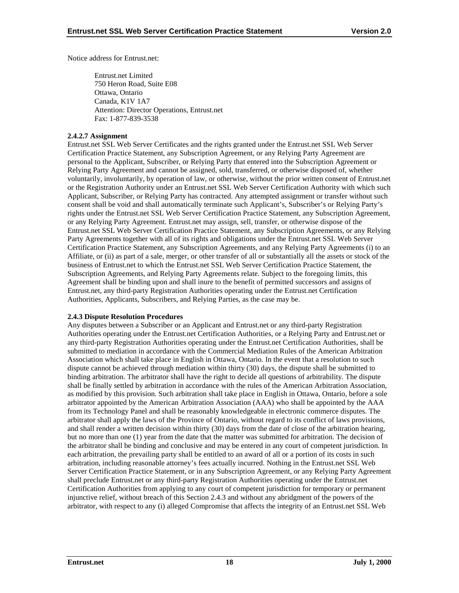Notice address for Entrust.net:

Entrust.net Limited 750 Heron Road, Suite E08 Ottawa, Ontario Canada, K1V 1A7 Attention: Director Operations, Entrust.net Fax: 1-877-839-3538

## **2.4.2.7 Assignment**

Entrust.net SSL Web Server Certificates and the rights granted under the Entrust.net SSL Web Server Certification Practice Statement, any Subscription Agreement, or any Relying Party Agreement are personal to the Applicant, Subscriber, or Relying Party that entered into the Subscription Agreement or Relying Party Agreement and cannot be assigned, sold, transferred, or otherwise disposed of, whether voluntarily, involuntarily, by operation of law, or otherwise, without the prior written consent of Entrust.net or the Registration Authority under an Entrust.net SSL Web Server Certification Authority with which such Applicant, Subscriber, or Relying Party has contracted. Any attempted assignment or transfer without such consent shall be void and shall automatically terminate such Applicant's, Subscriber's or Relying Party's rights under the Entrust.net SSL Web Server Certification Practice Statement, any Subscription Agreement, or any Relying Party Agreement. Entrust.net may assign, sell, transfer, or otherwise dispose of the Entrust.net SSL Web Server Certification Practice Statement, any Subscription Agreements, or any Relying Party Agreements together with all of its rights and obligations under the Entrust.net SSL Web Server Certification Practice Statement, any Subscription Agreements, and any Relying Party Agreements (i) to an Affiliate, or (ii) as part of a sale, merger, or other transfer of all or substantially all the assets or stock of the business of Entrust.net to which the Entrust.net SSL Web Server Certification Practice Statement, the Subscription Agreements, and Relying Party Agreements relate. Subject to the foregoing limits, this Agreement shall be binding upon and shall inure to the benefit of permitted successors and assigns of Entrust.net, any third-party Registration Authorities operating under the Entrust.net Certification Authorities, Applicants, Subscribers, and Relying Parties, as the case may be.

#### **2.4.3 Dispute Resolution Procedures**

Any disputes between a Subscriber or an Applicant and Entrust.net or any third-party Registration Authorities operating under the Entrust.net Certification Authorities, or a Relying Party and Entrust.net or any third-party Registration Authorities operating under the Entrust.net Certification Authorities, shall be submitted to mediation in accordance with the Commercial Mediation Rules of the American Arbitration Association which shall take place in English in Ottawa, Ontario. In the event that a resolution to such dispute cannot be achieved through mediation within thirty (30) days, the dispute shall be submitted to binding arbitration. The arbitrator shall have the right to decide all questions of arbitrability. The dispute shall be finally settled by arbitration in accordance with the rules of the American Arbitration Association, as modified by this provision. Such arbitration shall take place in English in Ottawa, Ontario, before a sole arbitrator appointed by the American Arbitration Association (AAA) who shall be appointed by the AAA from its Technology Panel and shall be reasonably knowledgeable in electronic commerce disputes. The arbitrator shall apply the laws of the Province of Ontario, without regard to its conflict of laws provisions, and shall render a written decision within thirty (30) days from the date of close of the arbitration hearing, but no more than one (1) year from the date that the matter was submitted for arbitration. The decision of the arbitrator shall be binding and conclusive and may be entered in any court of competent jurisdiction. In each arbitration, the prevailing party shall be entitled to an award of all or a portion of its costs in such arbitration, including reasonable attorney's fees actually incurred. Nothing in the Entrust.net SSL Web Server Certification Practice Statement, or in any Subscription Agreement, or any Relying Party Agreement shall preclude Entrust.net or any third-party Registration Authorities operating under the Entrust.net Certification Authorities from applying to any court of competent jurisdiction for temporary or permanent injunctive relief, without breach of this Section 2.4.3 and without any abridgment of the powers of the arbitrator, with respect to any (i) alleged Compromise that affects the integrity of an Entrust.net SSL Web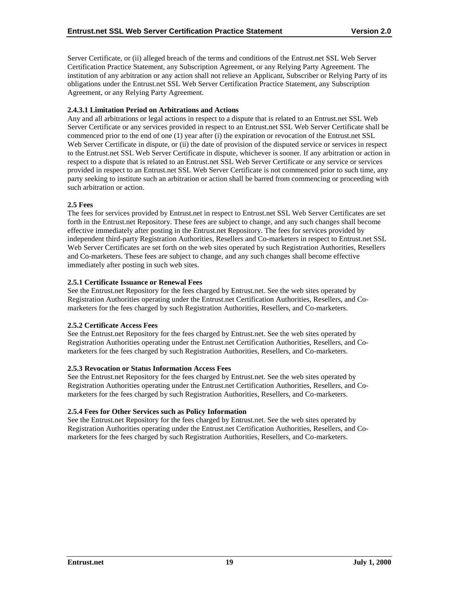Server Certificate, or (ii) alleged breach of the terms and conditions of the Entrust.net SSL Web Server Certification Practice Statement, any Subscription Agreement, or any Relying Party Agreement. The institution of any arbitration or any action shall not relieve an Applicant, Subscriber or Relying Party of its obligations under the Entrust.net SSL Web Server Certification Practice Statement, any Subscription Agreement, or any Relying Party Agreement.

## **2.4.3.1 Limitation Period on Arbitrations and Actions**

Any and all arbitrations or legal actions in respect to a dispute that is related to an Entrust.net SSL Web Server Certificate or any services provided in respect to an Entrust.net SSL Web Server Certificate shall be commenced prior to the end of one (1) year after (i) the expiration or revocation of the Entrust.net SSL Web Server Certificate in dispute, or (ii) the date of provision of the disputed service or services in respect to the Entrust.net SSL Web Server Certificate in dispute, whichever is sooner. If any arbitration or action in respect to a dispute that is related to an Entrust.net SSL Web Server Certificate or any service or services provided in respect to an Entrust.net SSL Web Server Certificate is not commenced prior to such time, any party seeking to institute such an arbitration or action shall be barred from commencing or proceeding with such arbitration or action.

## **2.5 Fees**

The fees for services provided by Entrust.net in respect to Entrust.net SSL Web Server Certificates are set forth in the Entrust.net Repository. These fees are subject to change, and any such changes shall become effective immediately after posting in the Entrust.net Repository. The fees for services provided by independent third-party Registration Authorities, Resellers and Co-marketers in respect to Entrust.net SSL Web Server Certificates are set forth on the web sites operated by such Registration Authorities, Resellers and Co-marketers. These fees are subject to change, and any such changes shall become effective immediately after posting in such web sites.

## **2.5.1 Certificate Issuance or Renewal Fees**

See the Entrust.net Repository for the fees charged by Entrust.net. See the web sites operated by Registration Authorities operating under the Entrust.net Certification Authorities, Resellers, and Comarketers for the fees charged by such Registration Authorities, Resellers, and Co-marketers.

## **2.5.2 Certificate Access Fees**

See the Entrust.net Repository for the fees charged by Entrust.net. See the web sites operated by Registration Authorities operating under the Entrust.net Certification Authorities, Resellers, and Comarketers for the fees charged by such Registration Authorities, Resellers, and Co-marketers.

#### **2.5.3 Revocation or Status Information Access Fees**

See the Entrust.net Repository for the fees charged by Entrust.net. See the web sites operated by Registration Authorities operating under the Entrust.net Certification Authorities, Resellers, and Comarketers for the fees charged by such Registration Authorities, Resellers, and Co-marketers.

## **2.5.4 Fees for Other Services such as Policy Information**

See the Entrust.net Repository for the fees charged by Entrust.net. See the web sites operated by Registration Authorities operating under the Entrust.net Certification Authorities, Resellers, and Comarketers for the fees charged by such Registration Authorities, Resellers, and Co-marketers.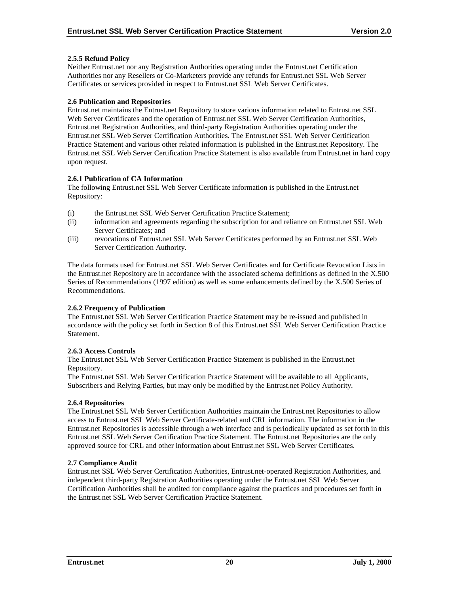## **2.5.5 Refund Policy**

Neither Entrust.net nor any Registration Authorities operating under the Entrust.net Certification Authorities nor any Resellers or Co-Marketers provide any refunds for Entrust.net SSL Web Server Certificates or services provided in respect to Entrust.net SSL Web Server Certificates.

## **2.6 Publication and Repositories**

Entrust.net maintains the Entrust.net Repository to store various information related to Entrust.net SSL Web Server Certificates and the operation of Entrust.net SSL Web Server Certification Authorities, Entrust.net Registration Authorities, and third-party Registration Authorities operating under the Entrust.net SSL Web Server Certification Authorities. The Entrust.net SSL Web Server Certification Practice Statement and various other related information is published in the Entrust.net Repository. The Entrust.net SSL Web Server Certification Practice Statement is also available from Entrust.net in hard copy upon request.

## **2.6.1 Publication of CA Information**

The following Entrust.net SSL Web Server Certificate information is published in the Entrust.net Repository:

- (i) the Entrust.net SSL Web Server Certification Practice Statement;
- (ii) information and agreements regarding the subscription for and reliance on Entrust.net SSL Web Server Certificates; and
- (iii) revocations of Entrust.net SSL Web Server Certificates performed by an Entrust.net SSL Web Server Certification Authority.

The data formats used for Entrust.net SSL Web Server Certificates and for Certificate Revocation Lists in the Entrust.net Repository are in accordance with the associated schema definitions as defined in the X.500 Series of Recommendations (1997 edition) as well as some enhancements defined by the X.500 Series of Recommendations.

#### **2.6.2 Frequency of Publication**

The Entrust.net SSL Web Server Certification Practice Statement may be re-issued and published in accordance with the policy set forth in Section 8 of this Entrust.net SSL Web Server Certification Practice Statement.

#### **2.6.3 Access Controls**

The Entrust.net SSL Web Server Certification Practice Statement is published in the Entrust.net Repository.

The Entrust.net SSL Web Server Certification Practice Statement will be available to all Applicants, Subscribers and Relying Parties, but may only be modified by the Entrust.net Policy Authority.

#### **2.6.4 Repositories**

The Entrust.net SSL Web Server Certification Authorities maintain the Entrust.net Repositories to allow access to Entrust.net SSL Web Server Certificate-related and CRL information. The information in the Entrust.net Repositories is accessible through a web interface and is periodically updated as set forth in this Entrust.net SSL Web Server Certification Practice Statement. The Entrust.net Repositories are the only approved source for CRL and other information about Entrust.net SSL Web Server Certificates.

## **2.7 Compliance Audit**

Entrust.net SSL Web Server Certification Authorities, Entrust.net-operated Registration Authorities, and independent third-party Registration Authorities operating under the Entrust.net SSL Web Server Certification Authorities shall be audited for compliance against the practices and procedures set forth in the Entrust.net SSL Web Server Certification Practice Statement.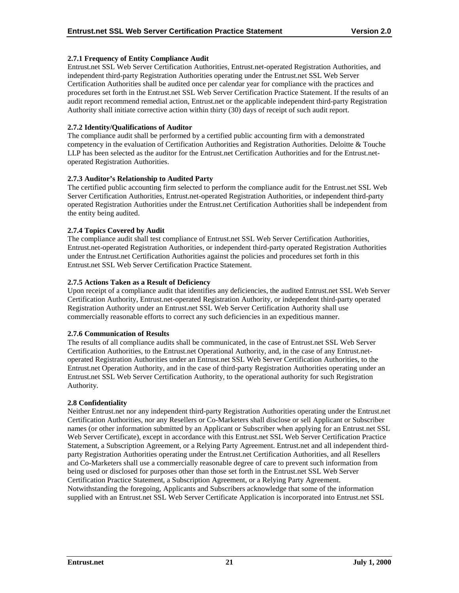## **2.7.1 Frequency of Entity Compliance Audit**

Entrust.net SSL Web Server Certification Authorities, Entrust.net-operated Registration Authorities, and independent third-party Registration Authorities operating under the Entrust.net SSL Web Server Certification Authorities shall be audited once per calendar year for compliance with the practices and procedures set forth in the Entrust.net SSL Web Server Certification Practice Statement. If the results of an audit report recommend remedial action, Entrust.net or the applicable independent third-party Registration Authority shall initiate corrective action within thirty (30) days of receipt of such audit report.

## **2.7.2 Identity/Qualifications of Auditor**

The compliance audit shall be performed by a certified public accounting firm with a demonstrated competency in the evaluation of Certification Authorities and Registration Authorities. Deloitte & Touche LLP has been selected as the auditor for the Entrust.net Certification Authorities and for the Entrust.netoperated Registration Authorities.

## **2.7.3 Auditor's Relationship to Audited Party**

The certified public accounting firm selected to perform the compliance audit for the Entrust.net SSL Web Server Certification Authorities, Entrust.net-operated Registration Authorities, or independent third-party operated Registration Authorities under the Entrust.net Certification Authorities shall be independent from the entity being audited.

## **2.7.4 Topics Covered by Audit**

The compliance audit shall test compliance of Entrust.net SSL Web Server Certification Authorities, Entrust.net-operated Registration Authorities, or independent third-party operated Registration Authorities under the Entrust.net Certification Authorities against the policies and procedures set forth in this Entrust.net SSL Web Server Certification Practice Statement.

## **2.7.5 Actions Taken as a Result of Deficiency**

Upon receipt of a compliance audit that identifies any deficiencies, the audited Entrust.net SSL Web Server Certification Authority, Entrust.net-operated Registration Authority, or independent third-party operated Registration Authority under an Entrust.net SSL Web Server Certification Authority shall use commercially reasonable efforts to correct any such deficiencies in an expeditious manner.

#### **2.7.6 Communication of Results**

The results of all compliance audits shall be communicated, in the case of Entrust.net SSL Web Server Certification Authorities, to the Entrust.net Operational Authority, and, in the case of any Entrust.netoperated Registration Authorities under an Entrust.net SSL Web Server Certification Authorities, to the Entrust.net Operation Authority, and in the case of third-party Registration Authorities operating under an Entrust.net SSL Web Server Certification Authority, to the operational authority for such Registration Authority.

#### **2.8 Confidentiality**

Neither Entrust.net nor any independent third-party Registration Authorities operating under the Entrust.net Certification Authorities, nor any Resellers or Co-Marketers shall disclose or sell Applicant or Subscriber names (or other information submitted by an Applicant or Subscriber when applying for an Entrust.net SSL Web Server Certificate), except in accordance with this Entrust.net SSL Web Server Certification Practice Statement, a Subscription Agreement, or a Relying Party Agreement. Entrust.net and all independent thirdparty Registration Authorities operating under the Entrust.net Certification Authorities, and all Resellers and Co-Marketers shall use a commercially reasonable degree of care to prevent such information from being used or disclosed for purposes other than those set forth in the Entrust.net SSL Web Server Certification Practice Statement, a Subscription Agreement, or a Relying Party Agreement. Notwithstanding the foregoing, Applicants and Subscribers acknowledge that some of the information supplied with an Entrust.net SSL Web Server Certificate Application is incorporated into Entrust.net SSL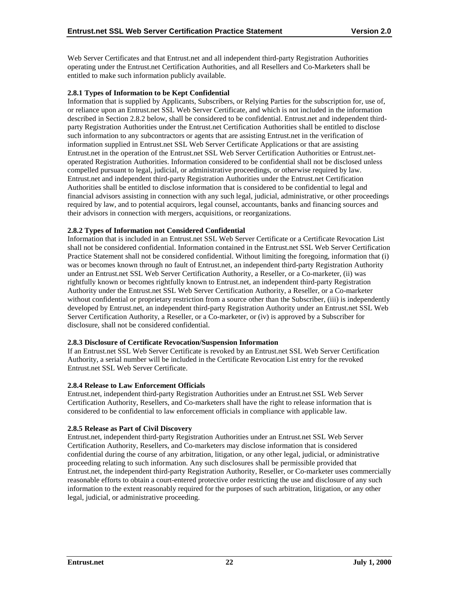Web Server Certificates and that Entrust.net and all independent third-party Registration Authorities operating under the Entrust.net Certification Authorities, and all Resellers and Co-Marketers shall be entitled to make such information publicly available.

## **2.8.1 Types of Information to be Kept Confidential**

Information that is supplied by Applicants, Subscribers, or Relying Parties for the subscription for, use of, or reliance upon an Entrust.net SSL Web Server Certificate, and which is not included in the information described in Section 2.8.2 below, shall be considered to be confidential. Entrust.net and independent thirdparty Registration Authorities under the Entrust.net Certification Authorities shall be entitled to disclose such information to any subcontractors or agents that are assisting Entrust.net in the verification of information supplied in Entrust.net SSL Web Server Certificate Applications or that are assisting Entrust.net in the operation of the Entrust.net SSL Web Server Certification Authorities or Entrust.netoperated Registration Authorities. Information considered to be confidential shall not be disclosed unless compelled pursuant to legal, judicial, or administrative proceedings, or otherwise required by law. Entrust.net and independent third-party Registration Authorities under the Entrust.net Certification Authorities shall be entitled to disclose information that is considered to be confidential to legal and financial advisors assisting in connection with any such legal, judicial, administrative, or other proceedings required by law, and to potential acquirors, legal counsel, accountants, banks and financing sources and their advisors in connection with mergers, acquisitions, or reorganizations.

## **2.8.2 Types of Information not Considered Confidential**

Information that is included in an Entrust.net SSL Web Server Certificate or a Certificate Revocation List shall not be considered confidential. Information contained in the Entrust.net SSL Web Server Certification Practice Statement shall not be considered confidential. Without limiting the foregoing, information that (i) was or becomes known through no fault of Entrust.net, an independent third-party Registration Authority under an Entrust.net SSL Web Server Certification Authority, a Reseller, or a Co-marketer, (ii) was rightfully known or becomes rightfully known to Entrust.net, an independent third-party Registration Authority under the Entrust.net SSL Web Server Certification Authority, a Reseller, or a Co-marketer without confidential or proprietary restriction from a source other than the Subscriber, (iii) is independently developed by Entrust.net, an independent third-party Registration Authority under an Entrust.net SSL Web Server Certification Authority, a Reseller, or a Co-marketer, or (iv) is approved by a Subscriber for disclosure, shall not be considered confidential.

## **2.8.3 Disclosure of Certificate Revocation/Suspension Information**

If an Entrust.net SSL Web Server Certificate is revoked by an Entrust.net SSL Web Server Certification Authority, a serial number will be included in the Certificate Revocation List entry for the revoked Entrust.net SSL Web Server Certificate.

## **2.8.4 Release to Law Enforcement Officials**

Entrust.net, independent third-party Registration Authorities under an Entrust.net SSL Web Server Certification Authority, Resellers, and Co-marketers shall have the right to release information that is considered to be confidential to law enforcement officials in compliance with applicable law.

## **2.8.5 Release as Part of Civil Discovery**

Entrust.net, independent third-party Registration Authorities under an Entrust.net SSL Web Server Certification Authority, Resellers, and Co-marketers may disclose information that is considered confidential during the course of any arbitration, litigation, or any other legal, judicial, or administrative proceeding relating to such information. Any such disclosures shall be permissible provided that Entrust.net, the independent third-party Registration Authority, Reseller, or Co-marketer uses commercially reasonable efforts to obtain a court-entered protective order restricting the use and disclosure of any such information to the extent reasonably required for the purposes of such arbitration, litigation, or any other legal, judicial, or administrative proceeding.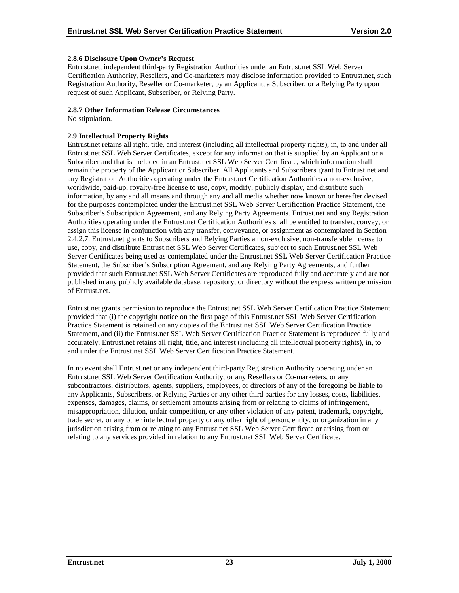#### **2.8.6 Disclosure Upon Owner's Request**

Entrust.net, independent third-party Registration Authorities under an Entrust.net SSL Web Server Certification Authority, Resellers, and Co-marketers may disclose information provided to Entrust.net, such Registration Authority, Reseller or Co-marketer, by an Applicant, a Subscriber, or a Relying Party upon request of such Applicant, Subscriber, or Relying Party.

#### **2.8.7 Other Information Release Circumstances**

No stipulation.

## **2.9 Intellectual Property Rights**

Entrust.net retains all right, title, and interest (including all intellectual property rights), in, to and under all Entrust.net SSL Web Server Certificates, except for any information that is supplied by an Applicant or a Subscriber and that is included in an Entrust.net SSL Web Server Certificate, which information shall remain the property of the Applicant or Subscriber. All Applicants and Subscribers grant to Entrust.net and any Registration Authorities operating under the Entrust.net Certification Authorities a non-exclusive, worldwide, paid-up, royalty-free license to use, copy, modify, publicly display, and distribute such information, by any and all means and through any and all media whether now known or hereafter devised for the purposes contemplated under the Entrust.net SSL Web Server Certification Practice Statement, the Subscriber's Subscription Agreement, and any Relying Party Agreements. Entrust.net and any Registration Authorities operating under the Entrust.net Certification Authorities shall be entitled to transfer, convey, or assign this license in conjunction with any transfer, conveyance, or assignment as contemplated in Section 2.4.2.7. Entrust.net grants to Subscribers and Relying Parties a non-exclusive, non-transferable license to use, copy, and distribute Entrust.net SSL Web Server Certificates, subject to such Entrust.net SSL Web Server Certificates being used as contemplated under the Entrust.net SSL Web Server Certification Practice Statement, the Subscriber's Subscription Agreement, and any Relying Party Agreements, and further provided that such Entrust.net SSL Web Server Certificates are reproduced fully and accurately and are not published in any publicly available database, repository, or directory without the express written permission of Entrust.net.

Entrust.net grants permission to reproduce the Entrust.net SSL Web Server Certification Practice Statement provided that (i) the copyright notice on the first page of this Entrust.net SSL Web Server Certification Practice Statement is retained on any copies of the Entrust.net SSL Web Server Certification Practice Statement, and (ii) the Entrust.net SSL Web Server Certification Practice Statement is reproduced fully and accurately. Entrust.net retains all right, title, and interest (including all intellectual property rights), in, to and under the Entrust.net SSL Web Server Certification Practice Statement.

In no event shall Entrust.net or any independent third-party Registration Authority operating under an Entrust.net SSL Web Server Certification Authority, or any Resellers or Co-marketers, or any subcontractors, distributors, agents, suppliers, employees, or directors of any of the foregoing be liable to any Applicants, Subscribers, or Relying Parties or any other third parties for any losses, costs, liabilities, expenses, damages, claims, or settlement amounts arising from or relating to claims of infringement, misappropriation, dilution, unfair competition, or any other violation of any patent, trademark, copyright, trade secret, or any other intellectual property or any other right of person, entity, or organization in any jurisdiction arising from or relating to any Entrust.net SSL Web Server Certificate or arising from or relating to any services provided in relation to any Entrust.net SSL Web Server Certificate.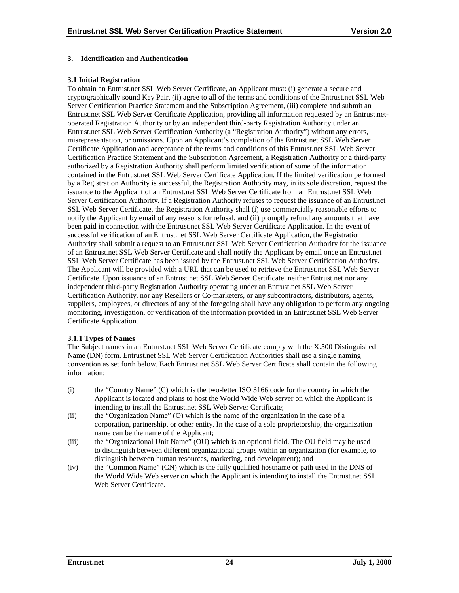#### **3. Identification and Authentication**

#### **3.1 Initial Registration**

To obtain an Entrust.net SSL Web Server Certificate, an Applicant must: (i) generate a secure and cryptographically sound Key Pair, (ii) agree to all of the terms and conditions of the Entrust.net SSL Web Server Certification Practice Statement and the Subscription Agreement, (iii) complete and submit an Entrust.net SSL Web Server Certificate Application, providing all information requested by an Entrust.netoperated Registration Authority or by an independent third-party Registration Authority under an Entrust.net SSL Web Server Certification Authority (a "Registration Authority") without any errors, misrepresentation, or omissions. Upon an Applicant's completion of the Entrust.net SSL Web Server Certificate Application and acceptance of the terms and conditions of this Entrust.net SSL Web Server Certification Practice Statement and the Subscription Agreement, a Registration Authority or a third-party authorized by a Registration Authority shall perform limited verification of some of the information contained in the Entrust.net SSL Web Server Certificate Application. If the limited verification performed by a Registration Authority is successful, the Registration Authority may, in its sole discretion, request the issuance to the Applicant of an Entrust.net SSL Web Server Certificate from an Entrust.net SSL Web Server Certification Authority. If a Registration Authority refuses to request the issuance of an Entrust.net SSL Web Server Certificate, the Registration Authority shall (i) use commercially reasonable efforts to notify the Applicant by email of any reasons for refusal, and (ii) promptly refund any amounts that have been paid in connection with the Entrust.net SSL Web Server Certificate Application. In the event of successful verification of an Entrust.net SSL Web Server Certificate Application, the Registration Authority shall submit a request to an Entrust.net SSL Web Server Certification Authority for the issuance of an Entrust.net SSL Web Server Certificate and shall notify the Applicant by email once an Entrust.net SSL Web Server Certificate has been issued by the Entrust.net SSL Web Server Certification Authority. The Applicant will be provided with a URL that can be used to retrieve the Entrust.net SSL Web Server Certificate. Upon issuance of an Entrust.net SSL Web Server Certificate, neither Entrust.net nor any independent third-party Registration Authority operating under an Entrust.net SSL Web Server Certification Authority, nor any Resellers or Co-marketers, or any subcontractors, distributors, agents, suppliers, employees, or directors of any of the foregoing shall have any obligation to perform any ongoing monitoring, investigation, or verification of the information provided in an Entrust.net SSL Web Server Certificate Application.

#### **3.1.1 Types of Names**

The Subject names in an Entrust.net SSL Web Server Certificate comply with the X.500 Distinguished Name (DN) form. Entrust.net SSL Web Server Certification Authorities shall use a single naming convention as set forth below. Each Entrust.net SSL Web Server Certificate shall contain the following information:

- (i) the "Country Name" (C) which is the two-letter ISO 3166 code for the country in which the Applicant is located and plans to host the World Wide Web server on which the Applicant is intending to install the Entrust.net SSL Web Server Certificate;
- (ii) the "Organization Name" (O) which is the name of the organization in the case of a corporation, partnership, or other entity. In the case of a sole proprietorship, the organization name can be the name of the Applicant;
- (iii) the "Organizational Unit Name" (OU) which is an optional field. The OU field may be used to distinguish between different organizational groups within an organization (for example, to distinguish between human resources, marketing, and development); and
- (iv) the "Common Name" (CN) which is the fully qualified hostname or path used in the DNS of the World Wide Web server on which the Applicant is intending to install the Entrust.net SSL Web Server Certificate.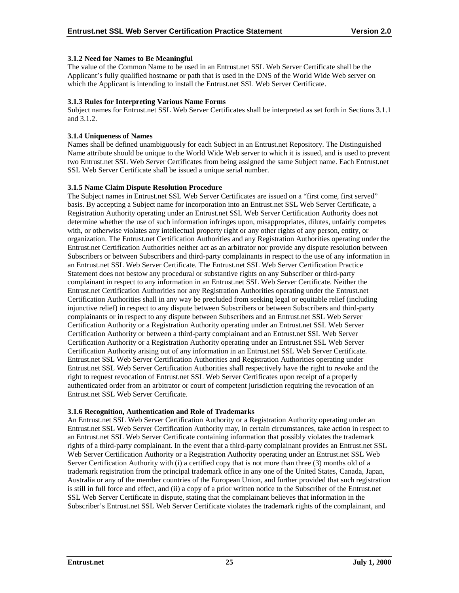## **3.1.2 Need for Names to Be Meaningful**

The value of the Common Name to be used in an Entrust.net SSL Web Server Certificate shall be the Applicant's fully qualified hostname or path that is used in the DNS of the World Wide Web server on which the Applicant is intending to install the Entrust.net SSL Web Server Certificate.

#### **3.1.3 Rules for Interpreting Various Name Forms**

Subject names for Entrust.net SSL Web Server Certificates shall be interpreted as set forth in Sections 3.1.1 and 3.1.2.

## **3.1.4 Uniqueness of Names**

Names shall be defined unambiguously for each Subject in an Entrust.net Repository. The Distinguished Name attribute should be unique to the World Wide Web server to which it is issued, and is used to prevent two Entrust.net SSL Web Server Certificates from being assigned the same Subject name. Each Entrust.net SSL Web Server Certificate shall be issued a unique serial number.

## **3.1.5 Name Claim Dispute Resolution Procedure**

The Subject names in Entrust.net SSL Web Server Certificates are issued on a "first come, first served" basis. By accepting a Subject name for incorporation into an Entrust.net SSL Web Server Certificate, a Registration Authority operating under an Entrust.net SSL Web Server Certification Authority does not determine whether the use of such information infringes upon, misappropriates, dilutes, unfairly competes with, or otherwise violates any intellectual property right or any other rights of any person, entity, or organization. The Entrust.net Certification Authorities and any Registration Authorities operating under the Entrust.net Certification Authorities neither act as an arbitrator nor provide any dispute resolution between Subscribers or between Subscribers and third-party complainants in respect to the use of any information in an Entrust.net SSL Web Server Certificate. The Entrust.net SSL Web Server Certification Practice Statement does not bestow any procedural or substantive rights on any Subscriber or third-party complainant in respect to any information in an Entrust.net SSL Web Server Certificate. Neither the Entrust.net Certification Authorities nor any Registration Authorities operating under the Entrust.net Certification Authorities shall in any way be precluded from seeking legal or equitable relief (including injunctive relief) in respect to any dispute between Subscribers or between Subscribers and third-party complainants or in respect to any dispute between Subscribers and an Entrust.net SSL Web Server Certification Authority or a Registration Authority operating under an Entrust.net SSL Web Server Certification Authority or between a third-party complainant and an Entrust.net SSL Web Server Certification Authority or a Registration Authority operating under an Entrust.net SSL Web Server Certification Authority arising out of any information in an Entrust.net SSL Web Server Certificate. Entrust.net SSL Web Server Certification Authorities and Registration Authorities operating under Entrust.net SSL Web Server Certification Authorities shall respectively have the right to revoke and the right to request revocation of Entrust.net SSL Web Server Certificates upon receipt of a properly authenticated order from an arbitrator or court of competent jurisdiction requiring the revocation of an Entrust.net SSL Web Server Certificate.

#### **3.1.6 Recognition, Authentication and Role of Trademarks**

An Entrust.net SSL Web Server Certification Authority or a Registration Authority operating under an Entrust.net SSL Web Server Certification Authority may, in certain circumstances, take action in respect to an Entrust.net SSL Web Server Certificate containing information that possibly violates the trademark rights of a third-party complainant. In the event that a third-party complainant provides an Entrust.net SSL Web Server Certification Authority or a Registration Authority operating under an Entrust.net SSL Web Server Certification Authority with (i) a certified copy that is not more than three (3) months old of a trademark registration from the principal trademark office in any one of the United States, Canada, Japan, Australia or any of the member countries of the European Union, and further provided that such registration is still in full force and effect, and (ii) a copy of a prior written notice to the Subscriber of the Entrust.net SSL Web Server Certificate in dispute, stating that the complainant believes that information in the Subscriber's Entrust.net SSL Web Server Certificate violates the trademark rights of the complainant, and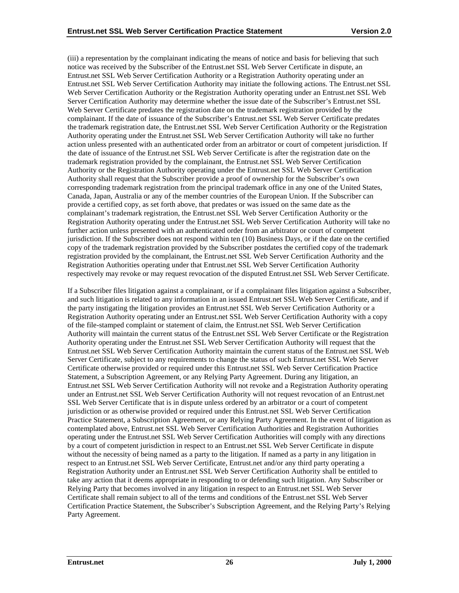(iii) a representation by the complainant indicating the means of notice and basis for believing that such notice was received by the Subscriber of the Entrust.net SSL Web Server Certificate in dispute, an Entrust.net SSL Web Server Certification Authority or a Registration Authority operating under an Entrust.net SSL Web Server Certification Authority may initiate the following actions. The Entrust.net SSL Web Server Certification Authority or the Registration Authority operating under an Entrust.net SSL Web Server Certification Authority may determine whether the issue date of the Subscriber's Entrust.net SSL Web Server Certificate predates the registration date on the trademark registration provided by the complainant. If the date of issuance of the Subscriber's Entrust.net SSL Web Server Certificate predates the trademark registration date, the Entrust.net SSL Web Server Certification Authority or the Registration Authority operating under the Entrust.net SSL Web Server Certification Authority will take no further action unless presented with an authenticated order from an arbitrator or court of competent jurisdiction. If the date of issuance of the Entrust.net SSL Web Server Certificate is after the registration date on the trademark registration provided by the complainant, the Entrust.net SSL Web Server Certification Authority or the Registration Authority operating under the Entrust.net SSL Web Server Certification Authority shall request that the Subscriber provide a proof of ownership for the Subscriber's own corresponding trademark registration from the principal trademark office in any one of the United States, Canada, Japan, Australia or any of the member countries of the European Union. If the Subscriber can provide a certified copy, as set forth above, that predates or was issued on the same date as the complainant's trademark registration, the Entrust.net SSL Web Server Certification Authority or the Registration Authority operating under the Entrust.net SSL Web Server Certification Authority will take no further action unless presented with an authenticated order from an arbitrator or court of competent jurisdiction. If the Subscriber does not respond within ten (10) Business Days, or if the date on the certified copy of the trademark registration provided by the Subscriber postdates the certified copy of the trademark registration provided by the complainant, the Entrust.net SSL Web Server Certification Authority and the Registration Authorities operating under that Entrust.net SSL Web Server Certification Authority respectively may revoke or may request revocation of the disputed Entrust.net SSL Web Server Certificate.

If a Subscriber files litigation against a complainant, or if a complainant files litigation against a Subscriber, and such litigation is related to any information in an issued Entrust.net SSL Web Server Certificate, and if the party instigating the litigation provides an Entrust.net SSL Web Server Certification Authority or a Registration Authority operating under an Entrust.net SSL Web Server Certification Authority with a copy of the file-stamped complaint or statement of claim, the Entrust.net SSL Web Server Certification Authority will maintain the current status of the Entrust.net SSL Web Server Certificate or the Registration Authority operating under the Entrust.net SSL Web Server Certification Authority will request that the Entrust.net SSL Web Server Certification Authority maintain the current status of the Entrust.net SSL Web Server Certificate, subject to any requirements to change the status of such Entrust.net SSL Web Server Certificate otherwise provided or required under this Entrust.net SSL Web Server Certification Practice Statement, a Subscription Agreement, or any Relying Party Agreement. During any litigation, an Entrust.net SSL Web Server Certification Authority will not revoke and a Registration Authority operating under an Entrust.net SSL Web Server Certification Authority will not request revocation of an Entrust.net SSL Web Server Certificate that is in dispute unless ordered by an arbitrator or a court of competent jurisdiction or as otherwise provided or required under this Entrust.net SSL Web Server Certification Practice Statement, a Subscription Agreement, or any Relying Party Agreement. In the event of litigation as contemplated above, Entrust.net SSL Web Server Certification Authorities and Registration Authorities operating under the Entrust.net SSL Web Server Certification Authorities will comply with any directions by a court of competent jurisdiction in respect to an Entrust.net SSL Web Server Certificate in dispute without the necessity of being named as a party to the litigation. If named as a party in any litigation in respect to an Entrust.net SSL Web Server Certificate, Entrust.net and/or any third party operating a Registration Authority under an Entrust.net SSL Web Server Certification Authority shall be entitled to take any action that it deems appropriate in responding to or defending such litigation. Any Subscriber or Relying Party that becomes involved in any litigation in respect to an Entrust.net SSL Web Server Certificate shall remain subject to all of the terms and conditions of the Entrust.net SSL Web Server Certification Practice Statement, the Subscriber's Subscription Agreement, and the Relying Party's Relying Party Agreement.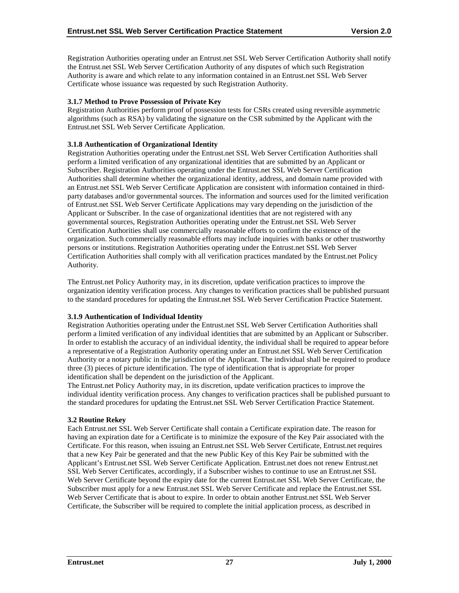Registration Authorities operating under an Entrust.net SSL Web Server Certification Authority shall notify the Entrust.net SSL Web Server Certification Authority of any disputes of which such Registration Authority is aware and which relate to any information contained in an Entrust.net SSL Web Server Certificate whose issuance was requested by such Registration Authority.

## **3.1.7 Method to Prove Possession of Private Key**

Registration Authorities perform proof of possession tests for CSRs created using reversible asymmetric algorithms (such as RSA) by validating the signature on the CSR submitted by the Applicant with the Entrust.net SSL Web Server Certificate Application.

#### **3.1.8 Authentication of Organizational Identity**

Registration Authorities operating under the Entrust.net SSL Web Server Certification Authorities shall perform a limited verification of any organizational identities that are submitted by an Applicant or Subscriber. Registration Authorities operating under the Entrust.net SSL Web Server Certification Authorities shall determine whether the organizational identity, address, and domain name provided with an Entrust.net SSL Web Server Certificate Application are consistent with information contained in thirdparty databases and/or governmental sources. The information and sources used for the limited verification of Entrust.net SSL Web Server Certificate Applications may vary depending on the jurisdiction of the Applicant or Subscriber. In the case of organizational identities that are not registered with any governmental sources, Registration Authorities operating under the Entrust.net SSL Web Server Certification Authorities shall use commercially reasonable efforts to confirm the existence of the organization. Such commercially reasonable efforts may include inquiries with banks or other trustworthy persons or institutions. Registration Authorities operating under the Entrust.net SSL Web Server Certification Authorities shall comply with all verification practices mandated by the Entrust.net Policy Authority.

The Entrust.net Policy Authority may, in its discretion, update verification practices to improve the organization identity verification process. Any changes to verification practices shall be published pursuant to the standard procedures for updating the Entrust.net SSL Web Server Certification Practice Statement.

## **3.1.9 Authentication of Individual Identity**

Registration Authorities operating under the Entrust.net SSL Web Server Certification Authorities shall perform a limited verification of any individual identities that are submitted by an Applicant or Subscriber. In order to establish the accuracy of an individual identity, the individual shall be required to appear before a representative of a Registration Authority operating under an Entrust.net SSL Web Server Certification Authority or a notary public in the jurisdiction of the Applicant. The individual shall be required to produce three (3) pieces of picture identification. The type of identification that is appropriate for proper identification shall be dependent on the jurisdiction of the Applicant.

The Entrust.net Policy Authority may, in its discretion, update verification practices to improve the individual identity verification process. Any changes to verification practices shall be published pursuant to the standard procedures for updating the Entrust.net SSL Web Server Certification Practice Statement.

## **3.2 Routine Rekey**

Each Entrust.net SSL Web Server Certificate shall contain a Certificate expiration date. The reason for having an expiration date for a Certificate is to minimize the exposure of the Key Pair associated with the Certificate. For this reason, when issuing an Entrust.net SSL Web Server Certificate, Entrust.net requires that a new Key Pair be generated and that the new Public Key of this Key Pair be submitted with the Applicant's Entrust.net SSL Web Server Certificate Application. Entrust.net does not renew Entrust.net SSL Web Server Certificates, accordingly, if a Subscriber wishes to continue to use an Entrust.net SSL Web Server Certificate beyond the expiry date for the current Entrust.net SSL Web Server Certificate, the Subscriber must apply for a new Entrust.net SSL Web Server Certificate and replace the Entrust.net SSL Web Server Certificate that is about to expire. In order to obtain another Entrust.net SSL Web Server Certificate, the Subscriber will be required to complete the initial application process, as described in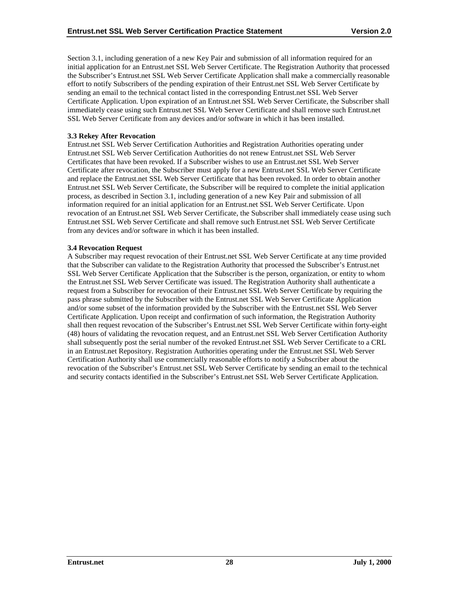Section 3.1, including generation of a new Key Pair and submission of all information required for an initial application for an Entrust.net SSL Web Server Certificate. The Registration Authority that processed the Subscriber's Entrust.net SSL Web Server Certificate Application shall make a commercially reasonable effort to notify Subscribers of the pending expiration of their Entrust.net SSL Web Server Certificate by sending an email to the technical contact listed in the corresponding Entrust.net SSL Web Server Certificate Application. Upon expiration of an Entrust.net SSL Web Server Certificate, the Subscriber shall immediately cease using such Entrust.net SSL Web Server Certificate and shall remove such Entrust.net SSL Web Server Certificate from any devices and/or software in which it has been installed.

#### **3.3 Rekey After Revocation**

Entrust.net SSL Web Server Certification Authorities and Registration Authorities operating under Entrust.net SSL Web Server Certification Authorities do not renew Entrust.net SSL Web Server Certificates that have been revoked. If a Subscriber wishes to use an Entrust.net SSL Web Server Certificate after revocation, the Subscriber must apply for a new Entrust.net SSL Web Server Certificate and replace the Entrust.net SSL Web Server Certificate that has been revoked. In order to obtain another Entrust.net SSL Web Server Certificate, the Subscriber will be required to complete the initial application process, as described in Section 3.1, including generation of a new Key Pair and submission of all information required for an initial application for an Entrust.net SSL Web Server Certificate. Upon revocation of an Entrust.net SSL Web Server Certificate, the Subscriber shall immediately cease using such Entrust.net SSL Web Server Certificate and shall remove such Entrust.net SSL Web Server Certificate from any devices and/or software in which it has been installed.

#### **3.4 Revocation Request**

A Subscriber may request revocation of their Entrust.net SSL Web Server Certificate at any time provided that the Subscriber can validate to the Registration Authority that processed the Subscriber's Entrust.net SSL Web Server Certificate Application that the Subscriber is the person, organization, or entity to whom the Entrust.net SSL Web Server Certificate was issued. The Registration Authority shall authenticate a request from a Subscriber for revocation of their Entrust.net SSL Web Server Certificate by requiring the pass phrase submitted by the Subscriber with the Entrust.net SSL Web Server Certificate Application and/or some subset of the information provided by the Subscriber with the Entrust.net SSL Web Server Certificate Application. Upon receipt and confirmation of such information, the Registration Authority shall then request revocation of the Subscriber's Entrust.net SSL Web Server Certificate within forty-eight (48) hours of validating the revocation request, and an Entrust.net SSL Web Server Certification Authority shall subsequently post the serial number of the revoked Entrust.net SSL Web Server Certificate to a CRL in an Entrust.net Repository. Registration Authorities operating under the Entrust.net SSL Web Server Certification Authority shall use commercially reasonable efforts to notify a Subscriber about the revocation of the Subscriber's Entrust.net SSL Web Server Certificate by sending an email to the technical and security contacts identified in the Subscriber's Entrust.net SSL Web Server Certificate Application.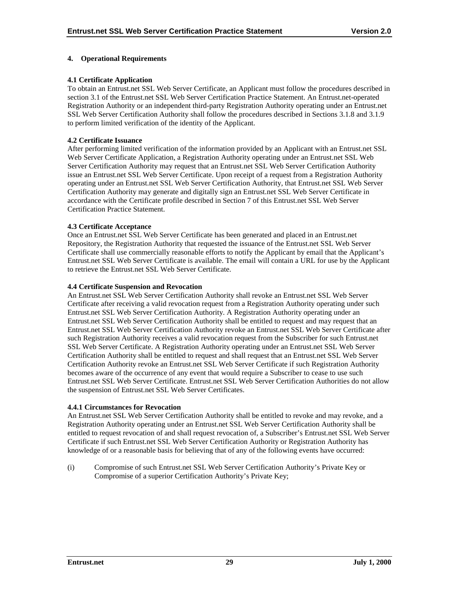## **4. Operational Requirements**

## **4.1 Certificate Application**

To obtain an Entrust.net SSL Web Server Certificate, an Applicant must follow the procedures described in section 3.1 of the Entrust.net SSL Web Server Certification Practice Statement. An Entrust.net-operated Registration Authority or an independent third-party Registration Authority operating under an Entrust.net SSL Web Server Certification Authority shall follow the procedures described in Sections 3.1.8 and 3.1.9 to perform limited verification of the identity of the Applicant.

## **4.2 Certificate Issuance**

After performing limited verification of the information provided by an Applicant with an Entrust.net SSL Web Server Certificate Application, a Registration Authority operating under an Entrust.net SSL Web Server Certification Authority may request that an Entrust.net SSL Web Server Certification Authority issue an Entrust.net SSL Web Server Certificate. Upon receipt of a request from a Registration Authority operating under an Entrust.net SSL Web Server Certification Authority, that Entrust.net SSL Web Server Certification Authority may generate and digitally sign an Entrust.net SSL Web Server Certificate in accordance with the Certificate profile described in Section 7 of this Entrust.net SSL Web Server Certification Practice Statement.

## **4.3 Certificate Acceptance**

Once an Entrust.net SSL Web Server Certificate has been generated and placed in an Entrust.net Repository, the Registration Authority that requested the issuance of the Entrust.net SSL Web Server Certificate shall use commercially reasonable efforts to notify the Applicant by email that the Applicant's Entrust.net SSL Web Server Certificate is available. The email will contain a URL for use by the Applicant to retrieve the Entrust.net SSL Web Server Certificate.

#### **4.4 Certificate Suspension and Revocation**

An Entrust.net SSL Web Server Certification Authority shall revoke an Entrust.net SSL Web Server Certificate after receiving a valid revocation request from a Registration Authority operating under such Entrust.net SSL Web Server Certification Authority. A Registration Authority operating under an Entrust.net SSL Web Server Certification Authority shall be entitled to request and may request that an Entrust.net SSL Web Server Certification Authority revoke an Entrust.net SSL Web Server Certificate after such Registration Authority receives a valid revocation request from the Subscriber for such Entrust.net SSL Web Server Certificate. A Registration Authority operating under an Entrust.net SSL Web Server Certification Authority shall be entitled to request and shall request that an Entrust.net SSL Web Server Certification Authority revoke an Entrust.net SSL Web Server Certificate if such Registration Authority becomes aware of the occurrence of any event that would require a Subscriber to cease to use such Entrust.net SSL Web Server Certificate. Entrust.net SSL Web Server Certification Authorities do not allow the suspension of Entrust.net SSL Web Server Certificates.

#### **4.4.1 Circumstances for Revocation**

An Entrust.net SSL Web Server Certification Authority shall be entitled to revoke and may revoke, and a Registration Authority operating under an Entrust.net SSL Web Server Certification Authority shall be entitled to request revocation of and shall request revocation of, a Subscriber's Entrust.net SSL Web Server Certificate if such Entrust.net SSL Web Server Certification Authority or Registration Authority has knowledge of or a reasonable basis for believing that of any of the following events have occurred:

(i) Compromise of such Entrust.net SSL Web Server Certification Authority's Private Key or Compromise of a superior Certification Authority's Private Key;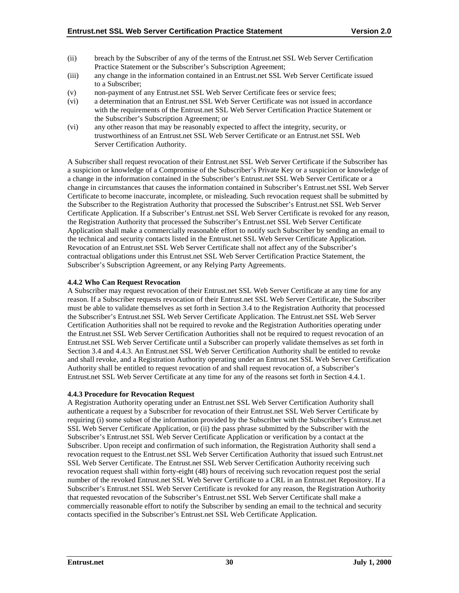- (ii) breach by the Subscriber of any of the terms of the Entrust.net SSL Web Server Certification Practice Statement or the Subscriber's Subscription Agreement;
- (iii) any change in the information contained in an Entrust.net SSL Web Server Certificate issued to a Subscriber;
- (v) non-payment of any Entrust.net SSL Web Server Certificate fees or service fees;
- (vi) a determination that an Entrust.net SSL Web Server Certificate was not issued in accordance with the requirements of the Entrust.net SSL Web Server Certification Practice Statement or the Subscriber's Subscription Agreement; or
- (vi) any other reason that may be reasonably expected to affect the integrity, security, or trustworthiness of an Entrust.net SSL Web Server Certificate or an Entrust.net SSL Web Server Certification Authority.

A Subscriber shall request revocation of their Entrust.net SSL Web Server Certificate if the Subscriber has a suspicion or knowledge of a Compromise of the Subscriber's Private Key or a suspicion or knowledge of a change in the information contained in the Subscriber's Entrust.net SSL Web Server Certificate or a change in circumstances that causes the information contained in Subscriber's Entrust.net SSL Web Server Certificate to become inaccurate, incomplete, or misleading. Such revocation request shall be submitted by the Subscriber to the Registration Authority that processed the Subscriber's Entrust.net SSL Web Server Certificate Application. If a Subscriber's Entrust.net SSL Web Server Certificate is revoked for any reason, the Registration Authority that processed the Subscriber's Entrust.net SSL Web Server Certificate Application shall make a commercially reasonable effort to notify such Subscriber by sending an email to the technical and security contacts listed in the Entrust.net SSL Web Server Certificate Application. Revocation of an Entrust.net SSL Web Server Certificate shall not affect any of the Subscriber's contractual obligations under this Entrust.net SSL Web Server Certification Practice Statement, the Subscriber's Subscription Agreement, or any Relying Party Agreements.

## **4.4.2 Who Can Request Revocation**

A Subscriber may request revocation of their Entrust.net SSL Web Server Certificate at any time for any reason. If a Subscriber requests revocation of their Entrust.net SSL Web Server Certificate, the Subscriber must be able to validate themselves as set forth in Section 3.4 to the Registration Authority that processed the Subscriber's Entrust.net SSL Web Server Certificate Application. The Entrust.net SSL Web Server Certification Authorities shall not be required to revoke and the Registration Authorities operating under the Entrust.net SSL Web Server Certification Authorities shall not be required to request revocation of an Entrust.net SSL Web Server Certificate until a Subscriber can properly validate themselves as set forth in Section 3.4 and 4.4.3. An Entrust.net SSL Web Server Certification Authority shall be entitled to revoke and shall revoke, and a Registration Authority operating under an Entrust.net SSL Web Server Certification Authority shall be entitled to request revocation of and shall request revocation of, a Subscriber's Entrust.net SSL Web Server Certificate at any time for any of the reasons set forth in Section 4.4.1.

#### **4.4.3 Procedure for Revocation Request**

A Registration Authority operating under an Entrust.net SSL Web Server Certification Authority shall authenticate a request by a Subscriber for revocation of their Entrust.net SSL Web Server Certificate by requiring (i) some subset of the information provided by the Subscriber with the Subscriber's Entrust.net SSL Web Server Certificate Application, or (ii) the pass phrase submitted by the Subscriber with the Subscriber's Entrust.net SSL Web Server Certificate Application or verification by a contact at the Subscriber. Upon receipt and confirmation of such information, the Registration Authority shall send a revocation request to the Entrust.net SSL Web Server Certification Authority that issued such Entrust.net SSL Web Server Certificate. The Entrust.net SSL Web Server Certification Authority receiving such revocation request shall within forty-eight (48) hours of receiving such revocation request post the serial number of the revoked Entrust.net SSL Web Server Certificate to a CRL in an Entrust.net Repository. If a Subscriber's Entrust.net SSL Web Server Certificate is revoked for any reason, the Registration Authority that requested revocation of the Subscriber's Entrust.net SSL Web Server Certificate shall make a commercially reasonable effort to notify the Subscriber by sending an email to the technical and security contacts specified in the Subscriber's Entrust.net SSL Web Certificate Application.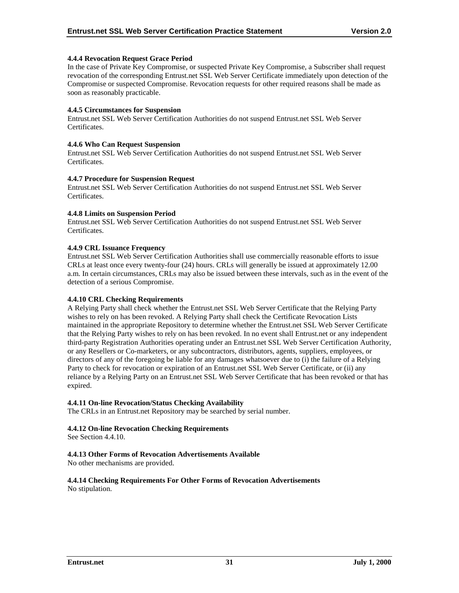## **4.4.4 Revocation Request Grace Period**

In the case of Private Key Compromise, or suspected Private Key Compromise, a Subscriber shall request revocation of the corresponding Entrust.net SSL Web Server Certificate immediately upon detection of the Compromise or suspected Compromise. Revocation requests for other required reasons shall be made as soon as reasonably practicable.

#### **4.4.5 Circumstances for Suspension**

Entrust.net SSL Web Server Certification Authorities do not suspend Entrust.net SSL Web Server Certificates.

#### **4.4.6 Who Can Request Suspension**

Entrust.net SSL Web Server Certification Authorities do not suspend Entrust.net SSL Web Server Certificates.

#### **4.4.7 Procedure for Suspension Request**

Entrust.net SSL Web Server Certification Authorities do not suspend Entrust.net SSL Web Server **Certificates** 

## **4.4.8 Limits on Suspension Period**

Entrust.net SSL Web Server Certification Authorities do not suspend Entrust.net SSL Web Server Certificates.

## **4.4.9 CRL Issuance Frequency**

Entrust.net SSL Web Server Certification Authorities shall use commercially reasonable efforts to issue CRLs at least once every twenty-four (24) hours. CRLs will generally be issued at approximately 12.00 a.m. In certain circumstances, CRLs may also be issued between these intervals, such as in the event of the detection of a serious Compromise.

#### **4.4.10 CRL Checking Requirements**

A Relying Party shall check whether the Entrust.net SSL Web Server Certificate that the Relying Party wishes to rely on has been revoked. A Relying Party shall check the Certificate Revocation Lists maintained in the appropriate Repository to determine whether the Entrust.net SSL Web Server Certificate that the Relying Party wishes to rely on has been revoked. In no event shall Entrust.net or any independent third-party Registration Authorities operating under an Entrust.net SSL Web Server Certification Authority, or any Resellers or Co-marketers, or any subcontractors, distributors, agents, suppliers, employees, or directors of any of the foregoing be liable for any damages whatsoever due to (i) the failure of a Relying Party to check for revocation or expiration of an Entrust.net SSL Web Server Certificate, or (ii) any reliance by a Relying Party on an Entrust.net SSL Web Server Certificate that has been revoked or that has expired.

#### **4.4.11 On-line Revocation/Status Checking Availability**

The CRLs in an Entrust.net Repository may be searched by serial number.

## **4.4.12 On-line Revocation Checking Requirements**

See Section 4.4.10.

## **4.4.13 Other Forms of Revocation Advertisements Available**

No other mechanisms are provided.

#### **4.4.14 Checking Requirements For Other Forms of Revocation Advertisements** No stipulation.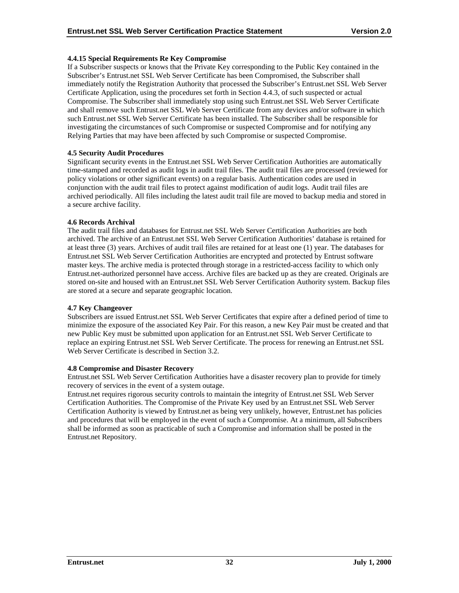## **4.4.15 Special Requirements Re Key Compromise**

If a Subscriber suspects or knows that the Private Key corresponding to the Public Key contained in the Subscriber's Entrust.net SSL Web Server Certificate has been Compromised, the Subscriber shall immediately notify the Registration Authority that processed the Subscriber's Entrust.net SSL Web Server Certificate Application, using the procedures set forth in Section 4.4.3, of such suspected or actual Compromise. The Subscriber shall immediately stop using such Entrust.net SSL Web Server Certificate and shall remove such Entrust.net SSL Web Server Certificate from any devices and/or software in which such Entrust.net SSL Web Server Certificate has been installed. The Subscriber shall be responsible for investigating the circumstances of such Compromise or suspected Compromise and for notifying any Relying Parties that may have been affected by such Compromise or suspected Compromise.

## **4.5 Security Audit Procedures**

Significant security events in the Entrust.net SSL Web Server Certification Authorities are automatically time-stamped and recorded as audit logs in audit trail files. The audit trail files are processed (reviewed for policy violations or other significant events) on a regular basis. Authentication codes are used in conjunction with the audit trail files to protect against modification of audit logs. Audit trail files are archived periodically. All files including the latest audit trail file are moved to backup media and stored in a secure archive facility.

## **4.6 Records Archival**

The audit trail files and databases for Entrust.net SSL Web Server Certification Authorities are both archived. The archive of an Entrust.net SSL Web Server Certification Authorities' database is retained for at least three (3) years. Archives of audit trail files are retained for at least one (1) year. The databases for Entrust.net SSL Web Server Certification Authorities are encrypted and protected by Entrust software master keys. The archive media is protected through storage in a restricted-access facility to which only Entrust.net-authorized personnel have access. Archive files are backed up as they are created. Originals are stored on-site and housed with an Entrust.net SSL Web Server Certification Authority system. Backup files are stored at a secure and separate geographic location.

#### **4.7 Key Changeover**

Subscribers are issued Entrust.net SSL Web Server Certificates that expire after a defined period of time to minimize the exposure of the associated Key Pair. For this reason, a new Key Pair must be created and that new Public Key must be submitted upon application for an Entrust.net SSL Web Server Certificate to replace an expiring Entrust.net SSL Web Server Certificate. The process for renewing an Entrust.net SSL Web Server Certificate is described in Section 3.2.

#### **4.8 Compromise and Disaster Recovery**

Entrust.net SSL Web Server Certification Authorities have a disaster recovery plan to provide for timely recovery of services in the event of a system outage.

Entrust.net requires rigorous security controls to maintain the integrity of Entrust.net SSL Web Server Certification Authorities. The Compromise of the Private Key used by an Entrust.net SSL Web Server Certification Authority is viewed by Entrust.net as being very unlikely, however, Entrust.net has policies and procedures that will be employed in the event of such a Compromise. At a minimum, all Subscribers shall be informed as soon as practicable of such a Compromise and information shall be posted in the Entrust.net Repository.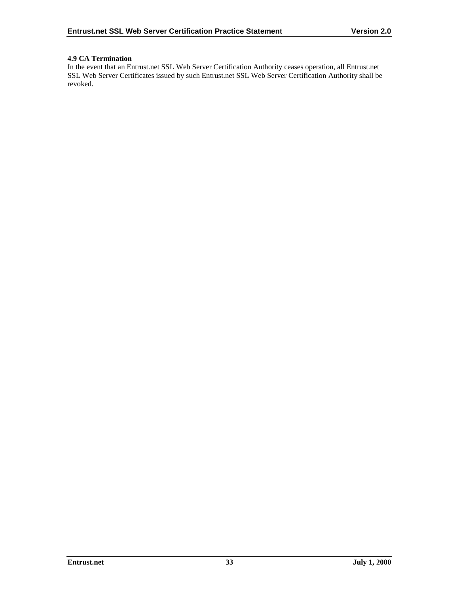## **4.9 CA Termination**

In the event that an Entrust.net SSL Web Server Certification Authority ceases operation, all Entrust.net SSL Web Server Certificates issued by such Entrust.net SSL Web Server Certification Authority shall be revoked.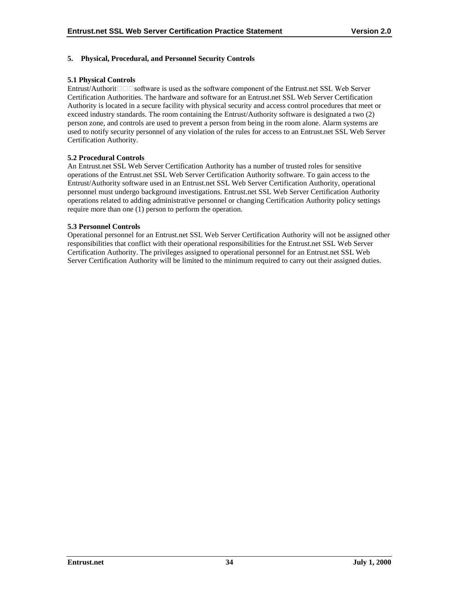## **5. Physical, Procedural, and Personnel Security Controls**

#### **5.1 Physical Controls**

Entrust/Authorit $\Box$  $\Box$ Software is used as the software component of the Entrust.net SSL Web Server Certification Authorities. The hardware and software for an Entrust.net SSL Web Server Certification Authority is located in a secure facility with physical security and access control procedures that meet or exceed industry standards. The room containing the Entrust/Authority software is designated a two (2) person zone, and controls are used to prevent a person from being in the room alone. Alarm systems are used to notify security personnel of any violation of the rules for access to an Entrust.net SSL Web Server Certification Authority.

## **5.2 Procedural Controls**

An Entrust.net SSL Web Server Certification Authority has a number of trusted roles for sensitive operations of the Entrust.net SSL Web Server Certification Authority software. To gain access to the Entrust/Authority software used in an Entrust.net SSL Web Server Certification Authority, operational personnel must undergo background investigations. Entrust.net SSL Web Server Certification Authority operations related to adding administrative personnel or changing Certification Authority policy settings require more than one (1) person to perform the operation.

## **5.3 Personnel Controls**

Operational personnel for an Entrust.net SSL Web Server Certification Authority will not be assigned other responsibilities that conflict with their operational responsibilities for the Entrust.net SSL Web Server Certification Authority. The privileges assigned to operational personnel for an Entrust.net SSL Web Server Certification Authority will be limited to the minimum required to carry out their assigned duties.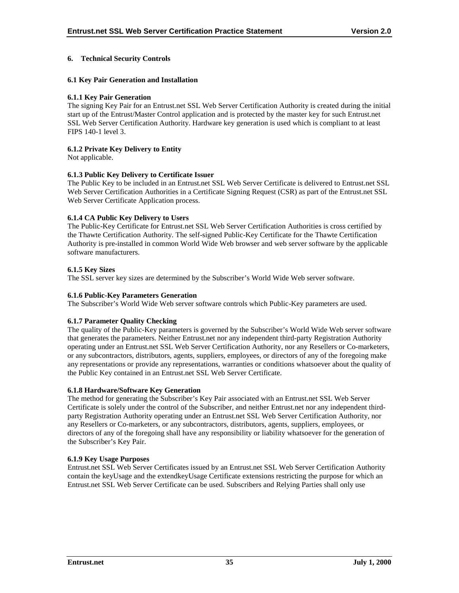## **6. Technical Security Controls**

## **6.1 Key Pair Generation and Installation**

## **6.1.1 Key Pair Generation**

The signing Key Pair for an Entrust.net SSL Web Server Certification Authority is created during the initial start up of the Entrust/Master Control application and is protected by the master key for such Entrust.net SSL Web Server Certification Authority. Hardware key generation is used which is compliant to at least FIPS 140-1 level 3.

## **6.1.2 Private Key Delivery to Entity**

Not applicable.

## **6.1.3 Public Key Delivery to Certificate Issuer**

The Public Key to be included in an Entrust.net SSL Web Server Certificate is delivered to Entrust.net SSL Web Server Certification Authorities in a Certificate Signing Request (CSR) as part of the Entrust.net SSL Web Server Certificate Application process.

## **6.1.4 CA Public Key Delivery to Users**

The Public-Key Certificate for Entrust.net SSL Web Server Certification Authorities is cross certified by the Thawte Certification Authority. The self-signed Public-Key Certificate for the Thawte Certification Authority is pre-installed in common World Wide Web browser and web server software by the applicable software manufacturers.

## **6.1.5 Key Sizes**

The SSL server key sizes are determined by the Subscriber's World Wide Web server software.

#### **6.1.6 Public-Key Parameters Generation**

The Subscriber's World Wide Web server software controls which Public-Key parameters are used.

## **6.1.7 Parameter Quality Checking**

The quality of the Public-Key parameters is governed by the Subscriber's World Wide Web server software that generates the parameters. Neither Entrust.net nor any independent third-party Registration Authority operating under an Entrust.net SSL Web Server Certification Authority, nor any Resellers or Co-marketers, or any subcontractors, distributors, agents, suppliers, employees, or directors of any of the foregoing make any representations or provide any representations, warranties or conditions whatsoever about the quality of the Public Key contained in an Entrust.net SSL Web Server Certificate.

#### **6.1.8 Hardware/Software Key Generation**

The method for generating the Subscriber's Key Pair associated with an Entrust.net SSL Web Server Certificate is solely under the control of the Subscriber, and neither Entrust.net nor any independent thirdparty Registration Authority operating under an Entrust.net SSL Web Server Certification Authority, nor any Resellers or Co-marketers, or any subcontractors, distributors, agents, suppliers, employees, or directors of any of the foregoing shall have any responsibility or liability whatsoever for the generation of the Subscriber's Key Pair.

## **6.1.9 Key Usage Purposes**

Entrust.net SSL Web Server Certificates issued by an Entrust.net SSL Web Server Certification Authority contain the keyUsage and the extendkeyUsage Certificate extensions restricting the purpose for which an Entrust.net SSL Web Server Certificate can be used. Subscribers and Relying Parties shall only use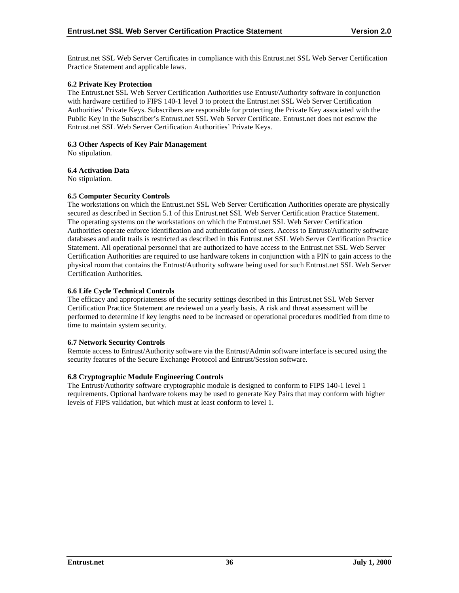Entrust.net SSL Web Server Certificates in compliance with this Entrust.net SSL Web Server Certification Practice Statement and applicable laws.

## **6.2 Private Key Protection**

The Entrust.net SSL Web Server Certification Authorities use Entrust/Authority software in conjunction with hardware certified to FIPS 140-1 level 3 to protect the Entrust.net SSL Web Server Certification Authorities' Private Keys. Subscribers are responsible for protecting the Private Key associated with the Public Key in the Subscriber's Entrust.net SSL Web Server Certificate. Entrust.net does not escrow the Entrust.net SSL Web Server Certification Authorities' Private Keys.

## **6.3 Other Aspects of Key Pair Management**

No stipulation.

## **6.4 Activation Data**

No stipulation.

## **6.5 Computer Security Controls**

The workstations on which the Entrust.net SSL Web Server Certification Authorities operate are physically secured as described in Section 5.1 of this Entrust.net SSL Web Server Certification Practice Statement. The operating systems on the workstations on which the Entrust.net SSL Web Server Certification Authorities operate enforce identification and authentication of users. Access to Entrust/Authority software databases and audit trails is restricted as described in this Entrust.net SSL Web Server Certification Practice Statement. All operational personnel that are authorized to have access to the Entrust.net SSL Web Server Certification Authorities are required to use hardware tokens in conjunction with a PIN to gain access to the physical room that contains the Entrust/Authority software being used for such Entrust.net SSL Web Server Certification Authorities.

## **6.6 Life Cycle Technical Controls**

The efficacy and appropriateness of the security settings described in this Entrust.net SSL Web Server Certification Practice Statement are reviewed on a yearly basis. A risk and threat assessment will be performed to determine if key lengths need to be increased or operational procedures modified from time to time to maintain system security.

#### **6.7 Network Security Controls**

Remote access to Entrust/Authority software via the Entrust/Admin software interface is secured using the security features of the Secure Exchange Protocol and Entrust/Session software.

## **6.8 Cryptographic Module Engineering Controls**

The Entrust/Authority software cryptographic module is designed to conform to FIPS 140-1 level 1 requirements. Optional hardware tokens may be used to generate Key Pairs that may conform with higher levels of FIPS validation, but which must at least conform to level 1.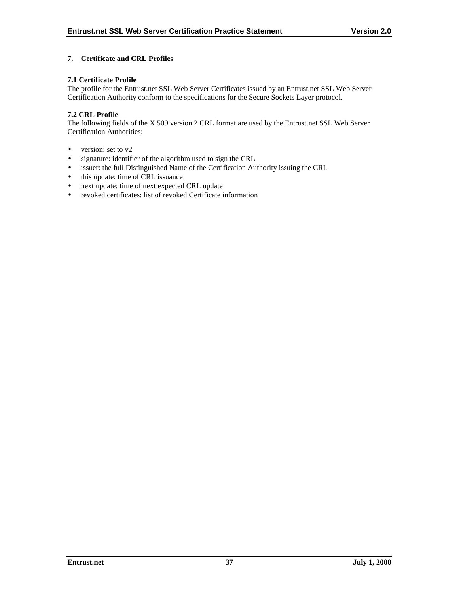## **7. Certificate and CRL Profiles**

## **7.1 Certificate Profile**

The profile for the Entrust.net SSL Web Server Certificates issued by an Entrust.net SSL Web Server Certification Authority conform to the specifications for the Secure Sockets Layer protocol.

## **7.2 CRL Profile**

The following fields of the X.509 version 2 CRL format are used by the Entrust.net SSL Web Server Certification Authorities:

- version: set to v2
- signature: identifier of the algorithm used to sign the CRL
- issuer: the full Distinguished Name of the Certification Authority issuing the CRL
- this update: time of CRL issuance
- next update: time of next expected CRL update
- revoked certificates: list of revoked Certificate information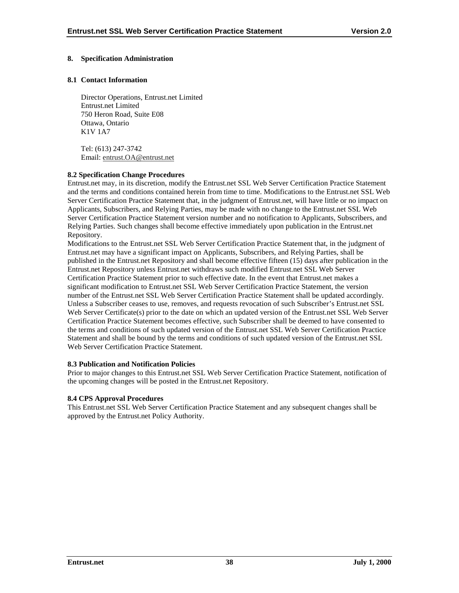## **8. Specification Administration**

## **8.1 Contact Information**

Director Operations, Entrust.net Limited Entrust.net Limited 750 Heron Road, Suite E08 Ottawa, Ontario K1V 1A7

Tel: (613) 247-3742 Email: entrust.OA@entrust.net

## **8.2 Specification Change Procedures**

Entrust.net may, in its discretion, modify the Entrust.net SSL Web Server Certification Practice Statement and the terms and conditions contained herein from time to time. Modifications to the Entrust.net SSL Web Server Certification Practice Statement that, in the judgment of Entrust.net, will have little or no impact on Applicants, Subscribers, and Relying Parties, may be made with no change to the Entrust.net SSL Web Server Certification Practice Statement version number and no notification to Applicants, Subscribers, and Relying Parties. Such changes shall become effective immediately upon publication in the Entrust.net Repository.

Modifications to the Entrust.net SSL Web Server Certification Practice Statement that, in the judgment of Entrust.net may have a significant impact on Applicants, Subscribers, and Relying Parties, shall be published in the Entrust.net Repository and shall become effective fifteen (15) days after publication in the Entrust.net Repository unless Entrust.net withdraws such modified Entrust.net SSL Web Server Certification Practice Statement prior to such effective date. In the event that Entrust.net makes a significant modification to Entrust.net SSL Web Server Certification Practice Statement, the version number of the Entrust.net SSL Web Server Certification Practice Statement shall be updated accordingly. Unless a Subscriber ceases to use, removes, and requests revocation of such Subscriber's Entrust.net SSL Web Server Certificate(s) prior to the date on which an updated version of the Entrust.net SSL Web Server Certification Practice Statement becomes effective, such Subscriber shall be deemed to have consented to the terms and conditions of such updated version of the Entrust.net SSL Web Server Certification Practice Statement and shall be bound by the terms and conditions of such updated version of the Entrust.net SSL Web Server Certification Practice Statement.

#### **8.3 Publication and Notification Policies**

Prior to major changes to this Entrust.net SSL Web Server Certification Practice Statement, notification of the upcoming changes will be posted in the Entrust.net Repository.

## **8.4 CPS Approval Procedures**

This Entrust.net SSL Web Server Certification Practice Statement and any subsequent changes shall be approved by the Entrust.net Policy Authority.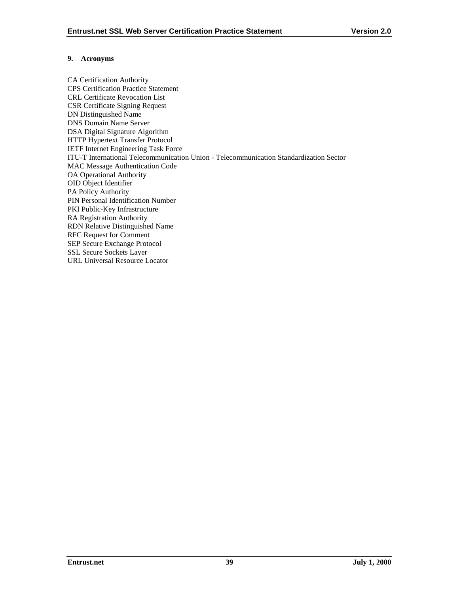## **9. Acronyms**

CA Certification Authority CPS Certification Practice Statement CRL Certificate Revocation List CSR Certificate Signing Request DN Distinguished Name DNS Domain Name Server DSA Digital Signature Algorithm HTTP Hypertext Transfer Protocol IETF Internet Engineering Task Force ITU-T International Telecommunication Union - Telecommunication Standardization Sector MAC Message Authentication Code OA Operational Authority OID Object Identifier PA Policy Authority PIN Personal Identification Number PKI Public-Key Infrastructure RA Registration Authority RDN Relative Distinguished Name RFC Request for Comment SEP Secure Exchange Protocol SSL Secure Sockets Layer URL Universal Resource Locator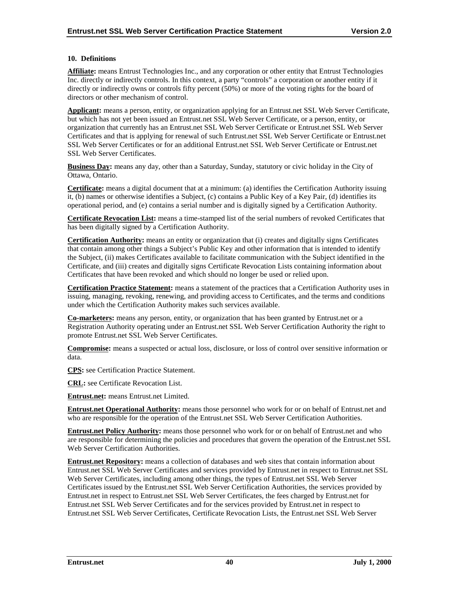#### **10. Definitions**

**Affiliate:** means Entrust Technologies Inc., and any corporation or other entity that Entrust Technologies Inc. directly or indirectly controls. In this context, a party "controls" a corporation or another entity if it directly or indirectly owns or controls fifty percent (50%) or more of the voting rights for the board of directors or other mechanism of control.

**Applicant:** means a person, entity, or organization applying for an Entrust.net SSL Web Server Certificate, but which has not yet been issued an Entrust.net SSL Web Server Certificate, or a person, entity, or organization that currently has an Entrust.net SSL Web Server Certificate or Entrust.net SSL Web Server Certificates and that is applying for renewal of such Entrust.net SSL Web Server Certificate or Entrust.net SSL Web Server Certificates or for an additional Entrust.net SSL Web Server Certificate or Entrust.net SSL Web Server Certificates.

**Business Day:** means any day, other than a Saturday, Sunday, statutory or civic holiday in the City of Ottawa, Ontario.

**Certificate:** means a digital document that at a minimum: (a) identifies the Certification Authority issuing it, (b) names or otherwise identifies a Subject, (c) contains a Public Key of a Key Pair, (d) identifies its operational period, and (e) contains a serial number and is digitally signed by a Certification Authority.

**Certificate Revocation List:** means a time-stamped list of the serial numbers of revoked Certificates that has been digitally signed by a Certification Authority.

**Certification Authority:** means an entity or organization that (i) creates and digitally signs Certificates that contain among other things a Subject's Public Key and other information that is intended to identify the Subject, (ii) makes Certificates available to facilitate communication with the Subject identified in the Certificate, and (iii) creates and digitally signs Certificate Revocation Lists containing information about Certificates that have been revoked and which should no longer be used or relied upon.

**Certification Practice Statement:** means a statement of the practices that a Certification Authority uses in issuing, managing, revoking, renewing, and providing access to Certificates, and the terms and conditions under which the Certification Authority makes such services available.

**Co-marketers:** means any person, entity, or organization that has been granted by Entrust.net or a Registration Authority operating under an Entrust.net SSL Web Server Certification Authority the right to promote Entrust.net SSL Web Server Certificates.

**Compromise:** means a suspected or actual loss, disclosure, or loss of control over sensitive information or data.

**CPS:** see Certification Practice Statement.

**CRL:** see Certificate Revocation List.

**Entrust.net:** means Entrust.net Limited.

**Entrust.net Operational Authority:** means those personnel who work for or on behalf of Entrust.net and who are responsible for the operation of the Entrust.net SSL Web Server Certification Authorities.

**Entrust.net Policy Authority:** means those personnel who work for or on behalf of Entrust.net and who are responsible for determining the policies and procedures that govern the operation of the Entrust.net SSL Web Server Certification Authorities.

**Entrust.net Repository:** means a collection of databases and web sites that contain information about Entrust.net SSL Web Server Certificates and services provided by Entrust.net in respect to Entrust.net SSL Web Server Certificates, including among other things, the types of Entrust.net SSL Web Server Certificates issued by the Entrust.net SSL Web Server Certification Authorities, the services provided by Entrust.net in respect to Entrust.net SSL Web Server Certificates, the fees charged by Entrust.net for Entrust.net SSL Web Server Certificates and for the services provided by Entrust.net in respect to Entrust.net SSL Web Server Certificates, Certificate Revocation Lists, the Entrust.net SSL Web Server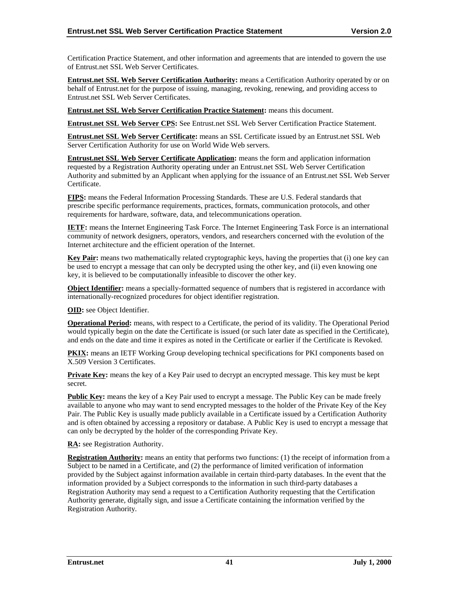Certification Practice Statement, and other information and agreements that are intended to govern the use of Entrust.net SSL Web Server Certificates.

**Entrust.net SSL Web Server Certification Authority:** means a Certification Authority operated by or on behalf of Entrust.net for the purpose of issuing, managing, revoking, renewing, and providing access to Entrust.net SSL Web Server Certificates.

**Entrust.net SSL Web Server Certification Practice Statement:** means this document.

**Entrust.net SSL Web Server CPS:** See Entrust.net SSL Web Server Certification Practice Statement.

**Entrust.net SSL Web Server Certificate:** means an SSL Certificate issued by an Entrust.net SSL Web Server Certification Authority for use on World Wide Web servers.

**Entrust.net SSL Web Server Certificate Application:** means the form and application information requested by a Registration Authority operating under an Entrust.net SSL Web Server Certification Authority and submitted by an Applicant when applying for the issuance of an Entrust.net SSL Web Server Certificate.

**FIPS:** means the Federal Information Processing Standards. These are U.S. Federal standards that prescribe specific performance requirements, practices, formats, communication protocols, and other requirements for hardware, software, data, and telecommunications operation.

**IETF:** means the Internet Engineering Task Force. The Internet Engineering Task Force is an international community of network designers, operators, vendors, and researchers concerned with the evolution of the Internet architecture and the efficient operation of the Internet.

**Key Pair:** means two mathematically related cryptographic keys, having the properties that (i) one key can be used to encrypt a message that can only be decrypted using the other key, and (ii) even knowing one key, it is believed to be computationally infeasible to discover the other key.

**Object Identifier:** means a specially-formatted sequence of numbers that is registered in accordance with internationally-recognized procedures for object identifier registration.

**OID:** see Object Identifier.

**Operational Period:** means, with respect to a Certificate, the period of its validity. The Operational Period would typically begin on the date the Certificate is issued (or such later date as specified in the Certificate), and ends on the date and time it expires as noted in the Certificate or earlier if the Certificate is Revoked.

PKIX: means an IETF Working Group developing technical specifications for PKI components based on X.509 Version 3 Certificates.

**Private Key:** means the key of a Key Pair used to decrypt an encrypted message. This key must be kept secret.

**Public Key:** means the key of a Key Pair used to encrypt a message. The Public Key can be made freely available to anyone who may want to send encrypted messages to the holder of the Private Key of the Key Pair. The Public Key is usually made publicly available in a Certificate issued by a Certification Authority and is often obtained by accessing a repository or database. A Public Key is used to encrypt a message that can only be decrypted by the holder of the corresponding Private Key.

**RA:** see Registration Authority.

**Registration Authority:** means an entity that performs two functions: (1) the receipt of information from a Subject to be named in a Certificate, and (2) the performance of limited verification of information provided by the Subject against information available in certain third-party databases. In the event that the information provided by a Subject corresponds to the information in such third-party databases a Registration Authority may send a request to a Certification Authority requesting that the Certification Authority generate, digitally sign, and issue a Certificate containing the information verified by the Registration Authority.